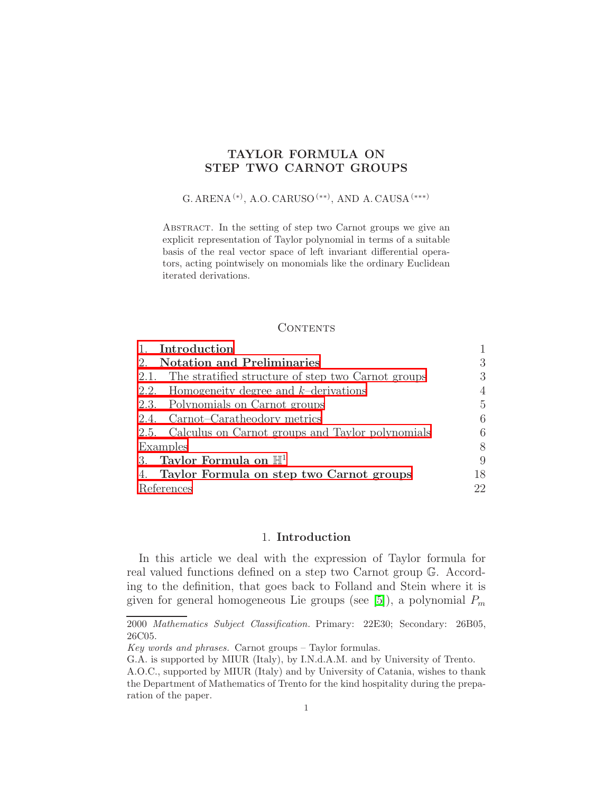## TAYLOR FORMULA ON STEP TWO CARNOT GROUPS

# G. ARENA $^{(*)}$ , A.O. CARUSO $^{(**)}$ , AND A. CAUSA $^{(***)}$

ABSTRACT. In the setting of step two Carnot groups we give an explicit representation of Taylor polynomial in terms of a suitable basis of the real vector space of left invariant differential operators, acting pointwisely on monomials like the ordinary Euclidean iterated derivations.

#### **CONTENTS**

| Introduction                                            |     |
|---------------------------------------------------------|-----|
| <b>Notation and Preliminaries</b><br>2.                 | 3   |
| 2.1. The stratified structure of step two Carnot groups | 3   |
| 2.2. Homogeneity degree and $k$ -derivations            | 4   |
| 2.3. Polynomials on Carnot groups                       | 5   |
| 2.4. Carnot–Caratheodory metrics                        | 6   |
| 2.5. Calculus on Carnot groups and Taylor polynomials   | 6   |
| Examples                                                | 8   |
| 3. Taylor Formula on $\mathbb{H}^1$                     | 9   |
| Taylor Formula on step two Carnot groups<br>4.          | 18. |
| References                                              | 22. |

## 1. Introduction

<span id="page-0-0"></span>In this article we deal with the expression of Taylor formula for real valued functions defined on a step two Carnot group G. According to the definition, that goes back to Folland and Stein where it is given for general homogeneous Lie groups (see [\[5\]](#page-21-1)), a polynomial  $P_m$ 

<sup>2000</sup> Mathematics Subject Classification. Primary: 22E30; Secondary: 26B05, 26C05.

Key words and phrases. Carnot groups – Taylor formulas.

G.A. is supported by MIUR (Italy), by I.N.d.A.M. and by University of Trento.

A.O.C., supported by MIUR (Italy) and by University of Catania, wishes to thank the Department of Mathematics of Trento for the kind hospitality during the preparation of the paper.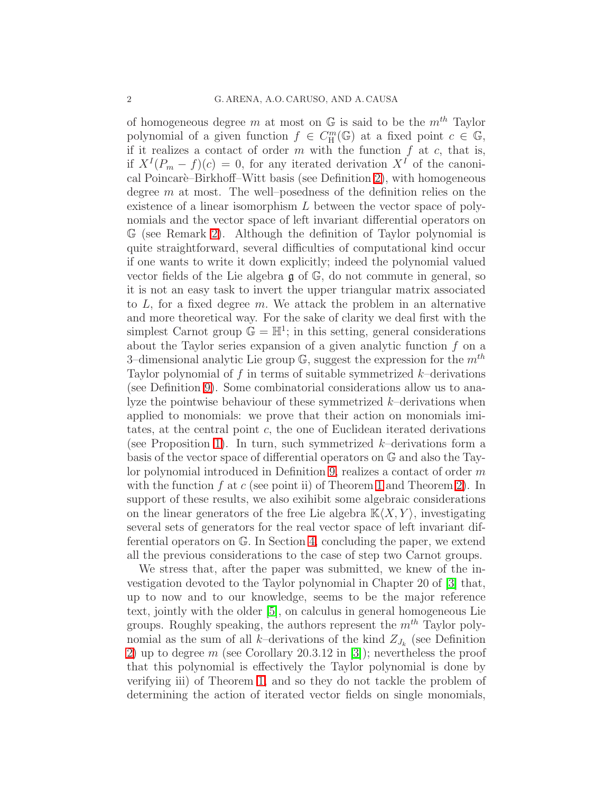of homogeneous degree m at most on  $\mathbb{G}$  is said to be the  $m^{th}$  Taylor polynomial of a given function  $f \in C_{\mathcal{H}}^m(\mathbb{G})$  at a fixed point  $c \in \mathbb{G}$ , if it realizes a contact of order  $m$  with the function  $f$  at  $c$ , that is, if  $X^{I}(P_{m}-f)(c)=0$ , for any iterated derivation  $X^{I}$  of the canoni-cal Poincarè–Birkhoff–Witt basis (see Definition [2\)](#page-3-1), with homogeneous degree  $m$  at most. The well–posedness of the definition relies on the existence of a linear isomorphism L between the vector space of polynomials and the vector space of left invariant differential operators on G (see Remark [2\)](#page-6-0). Although the definition of Taylor polynomial is quite straightforward, several difficulties of computational kind occur if one wants to write it down explicitly; indeed the polynomial valued vector fields of the Lie algebra g of G, do not commute in general, so it is not an easy task to invert the upper triangular matrix associated to  $L$ , for a fixed degree  $m$ . We attack the problem in an alternative and more theoretical way. For the sake of clarity we deal first with the simplest Carnot group  $\mathbb{G} = \mathbb{H}^1$ ; in this setting, general considerations about the Taylor series expansion of a given analytic function  $f$  on a 3-dimensional analytic Lie group  $\mathbb{G}$ , suggest the expression for the  $m^{th}$ Taylor polynomial of  $f$  in terms of suitable symmetrized  $k$ -derivations (see Definition [9\)](#page-10-0). Some combinatorial considerations allow us to analyze the pointwise behaviour of these symmetrized  $k$ -derivations when applied to monomials: we prove that their action on monomials imitates, at the central point  $c$ , the one of Euclidean iterated derivations (see Proposition [1\)](#page-12-0). In turn, such symmetrized  $k$ -derivations form a basis of the vector space of differential operators on G and also the Taylor polynomial introduced in Definition [9,](#page-10-0) realizes a contact of order m with the function f at c (see point ii) of Theorem [1](#page-6-1) and Theorem [2\)](#page-14-0). In support of these results, we also exihibit some algebraic considerations on the linear generators of the free Lie algebra  $K(X, Y)$ , investigating several sets of generators for the real vector space of left invariant differential operators on G. In Section [4,](#page-17-0) concluding the paper, we extend all the previous considerations to the case of step two Carnot groups.

We stress that, after the paper was submitted, we knew of the investigation devoted to the Taylor polynomial in Chapter 20 of [\[3\]](#page-21-2) that, up to now and to our knowledge, seems to be the major reference text, jointly with the older [\[5\]](#page-21-1), on calculus in general homogeneous Lie groups. Roughly speaking, the authors represent the  $m^{th}$  Taylor polynomial as the sum of all k-derivations of the kind  $Z_{J_k}$  (see Definition [2\)](#page-3-1) up to degree m (see Corollary 20.3.12 in [\[3\]](#page-21-2)); nevertheless the proof that this polynomial is effectively the Taylor polynomial is done by verifying iii) of Theorem [1,](#page-6-1) and so they do not tackle the problem of determining the action of iterated vector fields on single monomials,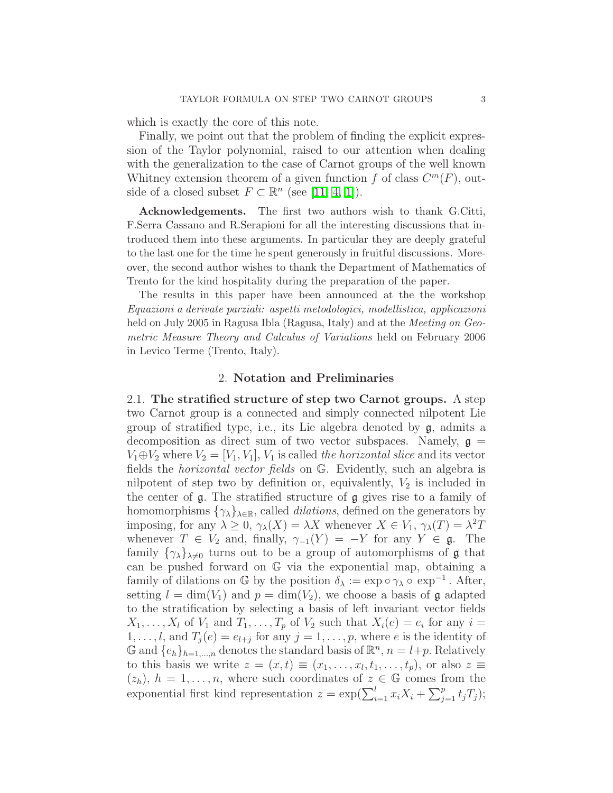which is exactly the core of this note.

Finally, we point out that the problem of finding the explicit expression of the Taylor polynomial, raised to our attention when dealing with the generalization to the case of Carnot groups of the well known Whitney extension theorem of a given function f of class  $C^m(F)$ , outside of a closed subset  $F \subset \mathbb{R}^n$  (see [\[11,](#page-21-3) [4,](#page-21-4) [1\]](#page-21-5)).

Acknowledgements. The first two authors wish to thank G.Citti, F.Serra Cassano and R.Serapioni for all the interesting discussions that introduced them into these arguments. In particular they are deeply grateful to the last one for the time he spent generously in fruitful discussions. Moreover, the second author wishes to thank the Department of Mathematics of Trento for the kind hospitality during the preparation of the paper.

The results in this paper have been announced at the the workshop Equazioni a derivate parziali: aspetti metodologici, modellistica, applicazioni held on July 2005 in Ragusa Ibla (Ragusa, Italy) and at the *Meeting on Geo*metric Measure Theory and Calculus of Variations held on February 2006 in Levico Terme (Trento, Italy).

### 2. Notation and Preliminaries

<span id="page-2-1"></span><span id="page-2-0"></span>2.1. The stratified structure of step two Carnot groups. A step two Carnot group is a connected and simply connected nilpotent Lie group of stratified type, i.e., its Lie algebra denoted by g, admits a decomposition as direct sum of two vector subspaces. Namely,  $g =$  $V_1 \oplus V_2$  where  $V_2 = [V_1, V_1], V_1$  is called the horizontal slice and its vector fields the horizontal vector fields on G. Evidently, such an algebra is nilpotent of step two by definition or, equivalently,  $V_2$  is included in the center of g. The stratified structure of g gives rise to a family of homomorphisms  $\{\gamma_{\lambda}\}_{{\lambda}\in\mathbb{R}}$ , called *dilations*, defined on the generators by imposing, for any  $\lambda \geq 0$ ,  $\gamma_{\lambda}(X) = \lambda X$  whenever  $X \in V_1$ ,  $\gamma_{\lambda}(T) = \lambda^2 T$ whenever  $T \in V_2$  and, finally,  $\gamma_{-1}(Y) = -Y$  for any  $Y \in \mathfrak{g}$ . The family  $\{\gamma_{\lambda}\}_{\lambda\neq0}$  turns out to be a group of automorphisms of  $\mathfrak g$  that can be pushed forward on G via the exponential map, obtaining a family of dilations on  $\mathbb G$  by the position  $\delta_{\lambda} := \exp \circ \gamma_{\lambda} \circ \exp^{-1}$ . After, setting  $l = \dim(V_1)$  and  $p = \dim(V_2)$ , we choose a basis of **g** adapted to the stratification by selecting a basis of left invariant vector fields  $X_1, \ldots, X_l$  of  $V_1$  and  $T_1, \ldots, T_p$  of  $V_2$  such that  $X_i(e) = e_i$  for any  $i =$  $1, \ldots, l$ , and  $T_j(e) = e_{l+j}$  for any  $j = 1, \ldots, p$ , where e is the identity of  $\mathbb{G}$  and  $\{e_h\}_{h=1,\dots,n}$  denotes the standard basis of  $\mathbb{R}^n$ ,  $n=l+p$ . Relatively to this basis we write  $z = (x, t) \equiv (x_1, \ldots, x_l, t_1, \ldots, t_p)$ , or also  $z \equiv$  $(z_h)$ ,  $h = 1, \ldots, n$ , where such coordinates of  $z \in \mathbb{G}$  comes from the exponential first kind representation  $z = \exp(\sum_{i=1}^{l} x_i X_i + \sum_{j=1}^{p} t_j T_j);$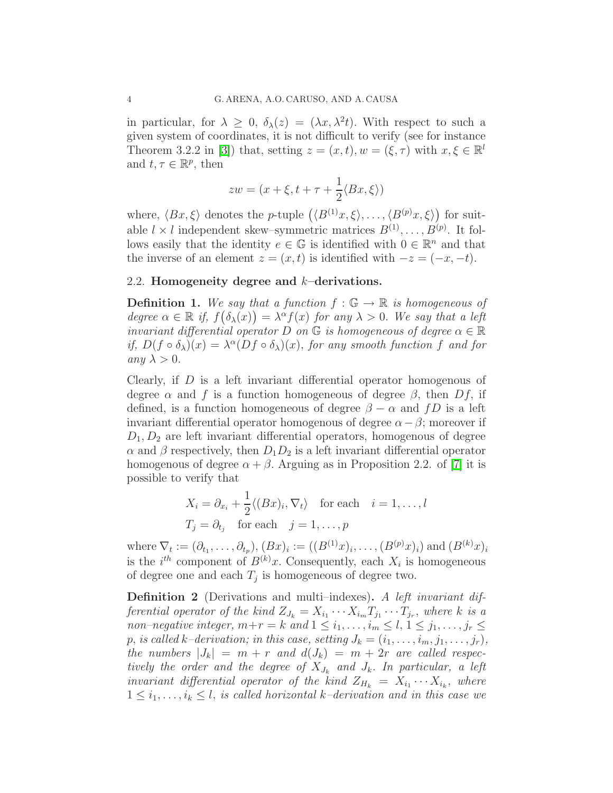in particular, for  $\lambda \geq 0$ ,  $\delta_{\lambda}(z) = (\lambda x, \lambda^{2} t)$ . With respect to such a given system of coordinates, it is not difficult to verify (see for instance Theorem 3.2.2 in [\[3\]](#page-21-2)) that, setting  $z = (x, t), w = (\xi, \tau)$  with  $x, \xi \in \mathbb{R}^l$ and  $t, \tau \in \mathbb{R}^p$ , then

$$
zw = (x + \xi, t + \tau + \frac{1}{2} \langle Bx, \xi \rangle)
$$

where,  $\langle Bx, \xi \rangle$  denotes the p-tuple  $(\langle B^{(1)}x, \xi \rangle, \ldots, \langle B^{(p)}x, \xi \rangle)$  for suitable  $l \times l$  independent skew–symmetric matrices  $B^{(1)}, \ldots, B^{(p)}$ . It follows easily that the identity  $e \in \mathbb{G}$  is identified with  $0 \in \mathbb{R}^n$  and that the inverse of an element  $z = (x, t)$  is identified with  $-z = (-x, -t)$ .

## <span id="page-3-0"></span>2.2. Homogeneity degree and k–derivations.

**Definition 1.** We say that a function  $f : \mathbb{G} \to \mathbb{R}$  is homogeneous of degree  $\alpha \in \mathbb{R}$  if,  $f(\delta_{\lambda}(x)) = \lambda^{\alpha} f(x)$  for any  $\lambda > 0$ . We say that a left invariant differential operator D on  $\mathbb G$  is homogeneous of degree  $\alpha \in \mathbb R$ if,  $D(f \circ \delta_\lambda)(x) = \lambda^\alpha (Df \circ \delta_\lambda)(x)$ , for any smooth function f and for any  $\lambda > 0$ .

Clearly, if D is a left invariant differential operator homogenous of degree  $\alpha$  and f is a function homogeneous of degree  $\beta$ , then  $Df$ , if defined, is a function homogeneous of degree  $\beta - \alpha$  and fD is a left invariant differential operator homogenous of degree  $\alpha - \beta$ ; moreover if  $D_1, D_2$  are left invariant differential operators, homogenous of degree  $\alpha$  and  $\beta$  respectively, then  $D_1D_2$  is a left invariant differential operator homogenous of degree  $\alpha + \beta$ . Arguing as in Proposition 2.2. of [\[7\]](#page-21-6) it is possible to verify that

$$
X_i = \partial_{x_i} + \frac{1}{2} \langle (Bx)_i, \nabla_t \rangle \quad \text{for each} \quad i = 1, \dots, l
$$
  

$$
T_j = \partial_{t_j} \quad \text{for each} \quad j = 1, \dots, p
$$

where  $\nabla_t := (\partial_{t_1}, \dots, \partial_{t_p}), (Bx)_i := ((B^{(1)}x)_i, \dots, (B^{(p)}x)_i)$  and  $(B^{(k)}x)_i$ is the  $i^{th}$  component of  $B^{(k)}x$ . Consequently, each  $X_i$  is homogeneous of degree one and each  $T_j$  is homogeneous of degree two.

<span id="page-3-1"></span>Definition 2 (Derivations and multi–indexes). A left invariant differential operator of the kind  $Z_{J_k} = X_{i_1} \cdots X_{i_m} T_{j_1} \cdots T_{j_r}$ , where k is a non–negative integer,  $m+r=k$  and  $1 \leq i_1,\ldots,i_m \leq l, 1 \leq j_1,\ldots,j_r \leq l$ p, is called k–derivation; in this case, setting  $J_k = (i_1, \ldots, i_m, j_1, \ldots, j_r)$ , the numbers  $|J_k| = m + r$  and  $d(J_k) = m + 2r$  are called respectively the order and the degree of  $X_{J_k}$  and  $J_k$ . In particular, a left invariant differential operator of the kind  $Z_{H_k} = X_{i_1} \cdots X_{i_k}$ , where  $1 \leq i_1, \ldots, i_k \leq l$ , is called horizontal k-derivation and in this case we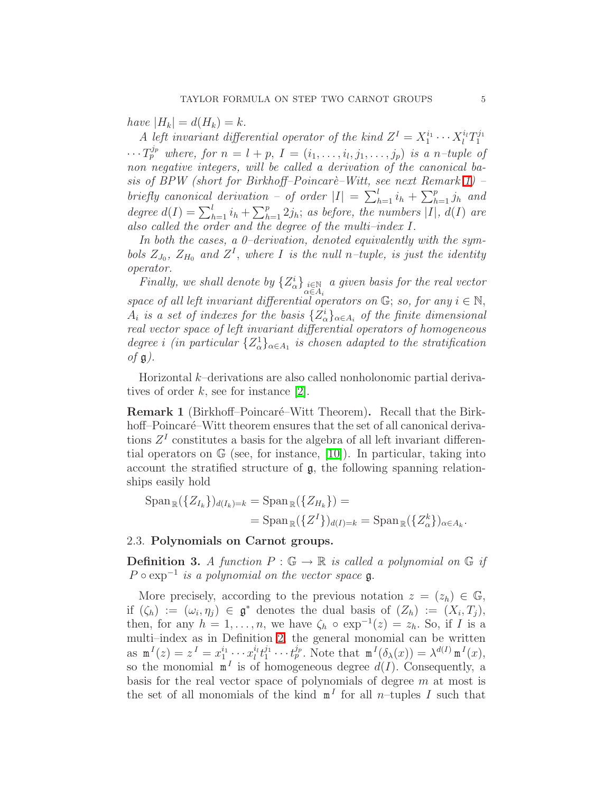have  $|H_k| = d(H_k) = k$ .

A left invariant differential operator of the kind  $Z<sup>I</sup> = X<sub>1</sub><sup>i<sub>1</sub></sup>$  $x_1^{i_1} \cdots x_l^{i_l} T_1^{j_1}$ 1  $\cdots T_p^{j_p}$  where, for  $n = l + p$ ,  $I = (i_1, \ldots, i_l, j_1, \ldots, j_p)$  is a n-tuple of non negative integers, will be called a derivation of the canonical ba-sis of BPW (short for Birkhoff–Poincarè–Witt, see next Remark [1\)](#page-4-1) – briefly canonical derivation – of order  $|I| = \sum_{h=1}^{l} i_h + \sum_{h=1}^{p} j_h$  and degree  $d(I) = \sum_{h=1}^{l} i_h + \sum_{h=1}^{p} 2j_h$ ; as before, the numbers |I|,  $d(I)$  are also called the order and the degree of the multi–index I.

In both the cases, a 0–derivation, denoted equivalently with the symbols  $Z_{J_0}$ ,  $Z_{H_0}$  and  $Z^I$ , where I is the null n-tuple, is just the identity operator.

Finally, we shall denote by  $\{Z_\alpha^i\}_{\substack{i\in\mathbb{N}\ \alpha\in A_i}}$  a given basis for the real vector space of all left invariant differential operators on  $\mathbb{G}$ ; so, for any  $i \in \mathbb{N}$ ,  $A_i$  is a set of indexes for the basis  $\{Z_\alpha^i\}_{\alpha \in A_i}$  of the finite dimensional real vector space of left invariant differential operators of homogeneous degree i (in particular  $\{Z_\alpha^1\}_{\alpha \in A_1}$  is chosen adapted to the stratification of  $\mathfrak{g}$ ).

<span id="page-4-1"></span>Horizontal k–derivations are also called nonholonomic partial derivatives of order  $k$ , see for instance [\[2\]](#page-21-7).

Remark 1 (Birkhoff–Poincaré–Witt Theorem). Recall that the Birkhoff–Poincaré–Witt theorem ensures that the set of all canonical derivations  $Z<sup>I</sup>$  constitutes a basis for the algebra of all left invariant differential operators on G (see, for instance, [\[10\]](#page-21-8)). In particular, taking into account the stratified structure of g, the following spanning relationships easily hold

$$
\operatorname{Span}_{\mathbb{R}}(\{Z_{I_k}\})_{d(I_k)=k} = \operatorname{Span}_{\mathbb{R}}(\{Z_{H_k}\}) =
$$
  
= 
$$
\operatorname{Span}_{\mathbb{R}}(\{Z^I\})_{d(I)=k} = \operatorname{Span}_{\mathbb{R}}(\{Z^k_{\alpha}\})_{\alpha \in A_k}.
$$

#### <span id="page-4-0"></span>2.3. Polynomials on Carnot groups.

**Definition 3.** A function  $P : \mathbb{G} \to \mathbb{R}$  is called a polynomial on  $\mathbb{G}$  if  $P \circ \exp^{-1}$  is a polynomial on the vector space  $\mathfrak{g}$ .

More precisely, according to the previous notation  $z = (z_h) \in \mathbb{G}$ , if  $(\zeta_h) := (\omega_i, \eta_j) \in \mathfrak{g}^*$  denotes the dual basis of  $(Z_h) := (X_i, T_j)$ , then, for any  $h = 1, \ldots, n$ , we have  $\zeta_h \circ \exp^{-1}(z) = z_h$ . So, if I is a multi–index as in Definition [2,](#page-3-1) the general monomial can be written as  $m^{I}(z) = z^{I} = x_1^{i_1}$  $i_1^{i_1}\cdots x^{i_l}_{l}t_1^{j_1}$  $t_1^{j_1} \cdots t_p^{j_p}$ . Note that  $\mathbf{m}^{I}(\delta_{\lambda}(x)) = \lambda^{d(I)} \mathbf{m}^{I}(x)$ , so the monomial  $\mathbf{m}^I$  is of homogeneous degree  $d(I)$ . Consequently, a basis for the real vector space of polynomials of degree  $m$  at most is the set of all monomials of the kind  $m<sup>I</sup>$  for all *n*-tuples I such that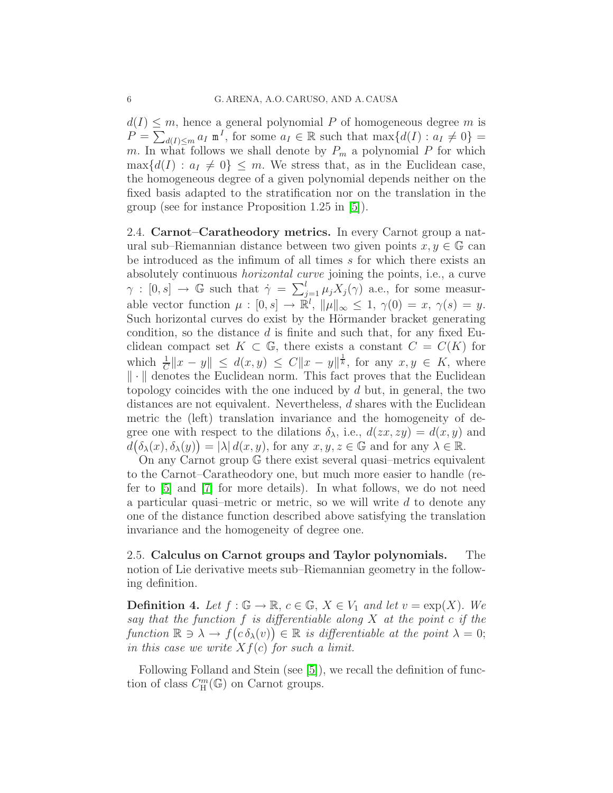$d(I) \leq m$ , hence a general polynomial P of homogeneous degree m is  $P = \sum_{d(I) \le m} a_I \mathbf{m}^I$ , for some  $a_I \in \mathbb{R}$  such that  $\max\{d(I) : a_I \ne 0\}$ m. In what follows we shall denote by  $P_m$  a polynomial P for which  $\max\{d(I): a_I \neq 0\} \leq m$ . We stress that, as in the Euclidean case, the homogeneous degree of a given polynomial depends neither on the fixed basis adapted to the stratification nor on the translation in the group (see for instance Proposition 1.25 in [\[5\]](#page-21-1)).

<span id="page-5-0"></span>2.4. Carnot–Caratheodory metrics. In every Carnot group a natural sub–Riemannian distance between two given points  $x, y \in \mathbb{G}$  can be introduced as the infimum of all times s for which there exists an absolutely continuous horizontal curve joining the points, i.e., a curve  $\gamma : [0, s] \to \mathbb{G}$  such that  $\dot{\gamma} = \sum_{j=1}^{l} \mu_j X_j(\gamma)$  a.e., for some measurable vector function  $\mu : [0, s] \to \mathbb{R}^l$ ,  $\|\mu\|_{\infty} \leq 1$ ,  $\gamma(0) = x$ ,  $\gamma(s) = y$ . Such horizontal curves do exist by the Hörmander bracket generating condition, so the distance  $d$  is finite and such that, for any fixed Euclidean compact set  $K \subset \mathbb{G}$ , there exists a constant  $C = C(K)$  for which  $\frac{1}{C} \|x - y\| \le d(x, y) \le C \|x - y\|^{\frac{1}{k}}$ , for any  $x, y \in K$ , where  $\|\cdot\|$  denotes the Euclidean norm. This fact proves that the Euclidean topology coincides with the one induced by  $d$  but, in general, the two distances are not equivalent. Nevertheless, d shares with the Euclidean metric the (left) translation invariance and the homogeneity of degree one with respect to the dilations  $\delta_{\lambda}$ , i.e.,  $d(zx, zy) = d(x, y)$  and  $d(\delta_{\lambda}(x), \delta_{\lambda}(y)) = |\lambda| d(x, y)$ , for any  $x, y, z \in \mathbb{G}$  and for any  $\lambda \in \mathbb{R}$ .

On any Carnot group G there exist several quasi–metrics equivalent to the Carnot–Caratheodory one, but much more easier to handle (refer to [\[5\]](#page-21-1) and [\[7\]](#page-21-6) for more details). In what follows, we do not need a particular quasi–metric or metric, so we will write d to denote any one of the distance function described above satisfying the translation invariance and the homogeneity of degree one.

<span id="page-5-1"></span>2.5. Calculus on Carnot groups and Taylor polynomials. The notion of Lie derivative meets sub–Riemannian geometry in the following definition.

**Definition 4.** Let  $f : \mathbb{G} \to \mathbb{R}$ ,  $c \in \mathbb{G}$ ,  $X \in V_1$  and let  $v = \exp(X)$ . We say that the function  $f$  is differentiable along  $X$  at the point  $c$  if the function  $\mathbb{R} \ni \lambda \to f(c \, \delta_{\lambda}(v)) \in \mathbb{R}$  is differentiable at the point  $\lambda = 0$ ; in this case we write  $Xf(c)$  for such a limit.

Following Folland and Stein (see [\[5\]](#page-21-1)), we recall the definition of function of class  $C_{\mathbf{H}}^m(\mathbb{G})$  on Carnot groups.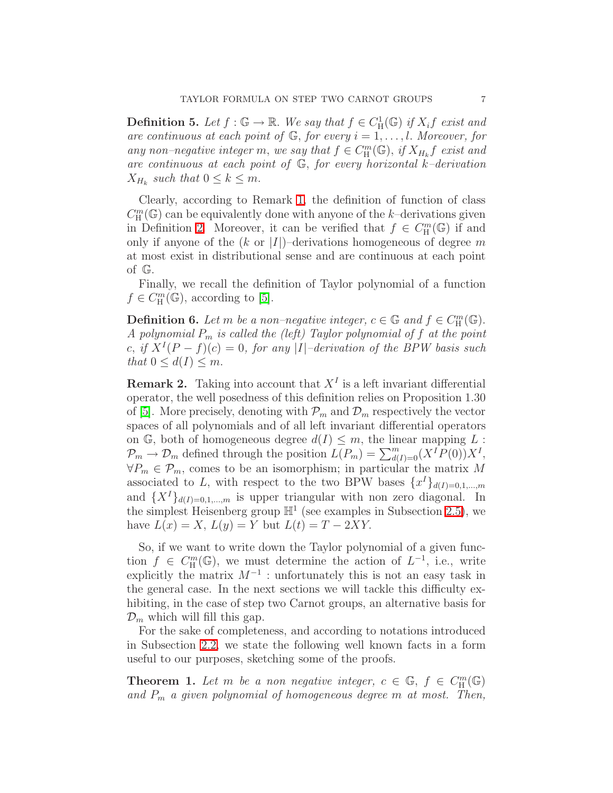**Definition 5.** Let  $f : \mathbb{G} \to \mathbb{R}$ . We say that  $f \in C^1_H(\mathbb{G})$  if  $X_i f$  exist and are continuous at each point of  $\mathbb{G}$ , for every  $i = 1, \ldots, l$ . Moreover, for any non-negative integer m, we say that  $f \in C_{\rm H}^{m}(\mathbb{G})$ , if  $X_{H_k}f$  exist and are continuous at each point of  $\mathbb{G}$ , for every horizontal k-derivation  $X_{H_k}$  such that  $0 \leq k \leq m$ .

Clearly, according to Remark [1,](#page-4-1) the definition of function of class  $C_{\rm H}^{m}(\mathbb{G})$  can be equivalently done with anyone of the k–derivations given in Definition [2.](#page-3-1) Moreover, it can be verified that  $f \in C_{\mathcal{H}}^{m}(\mathbb{G})$  if and only if anyone of the  $(k \text{ or } |I|)$ –derivations homogeneous of degree m at most exist in distributional sense and are continuous at each point of G.

Finally, we recall the definition of Taylor polynomial of a function  $f \in C_{\rm H}^{m}(\mathbb{G})$ , according to [\[5\]](#page-21-1).

**Definition 6.** Let m be a non-negative integer,  $c \in \mathbb{G}$  and  $f \in C_{\mathbb{H}}^m(\mathbb{G})$ . A polynomial  $P_m$  is called the (left) Taylor polynomial of f at the point c, if  $X^{I}(P - f)(c) = 0$ , for any |I|-derivation of the BPW basis such that  $0 \leq d(I) \leq m$ .

<span id="page-6-0"></span>**Remark 2.** Taking into account that  $X<sup>I</sup>$  is a left invariant differential operator, the well posedness of this definition relies on Proposition 1.30 of [\[5\]](#page-21-1). More precisely, denoting with  $\mathcal{P}_m$  and  $\mathcal{D}_m$  respectively the vector spaces of all polynomials and of all left invariant differential operators on G, both of homogeneous degree  $d(I) \leq m$ , the linear mapping L:  $\mathcal{P}_m \to \mathcal{D}_m$  defined through the position  $L(P_m) = \sum_{d(I)=0}^m (X^I P(0)) X^I$ ,  $\forall P_m \in \mathcal{P}_m$ , comes to be an isomorphism; in particular the matrix M associated to L, with respect to the two BPW bases  $\{x^I\}_{d(I)=0,1,...,m}$ and  $\{X^{I}\}_{d(I)=0,1,\dots,m}$  is upper triangular with non zero diagonal. In the simplest Heisenberg group  $\mathbb{H}^1$  (see examples in Subsection [2.5\)](#page-7-0), we have  $L(x) = X$ ,  $L(y) = Y$  but  $L(t) = T - 2XY$ .

So, if we want to write down the Taylor polynomial of a given function  $f \in C_{\mathcal{H}}^m(\mathbb{G})$ , we must determine the action of  $L^{-1}$ , i.e., write explicitly the matrix  $M^{-1}$ : unfortunately this is not an easy task in the general case. In the next sections we will tackle this difficulty exhibiting, in the case of step two Carnot groups, an alternative basis for  $\mathcal{D}_m$  which will fill this gap.

For the sake of completeness, and according to notations introduced in Subsection [2.2,](#page-3-0) we state the following well known facts in a form useful to our purposes, sketching some of the proofs.

<span id="page-6-1"></span>**Theorem 1.** Let m be a non negative integer,  $c \in \mathbb{G}$ ,  $f \in C_{\mathbb{H}}^m(\mathbb{G})$ and  $P_m$  a given polynomial of homogeneous degree m at most. Then,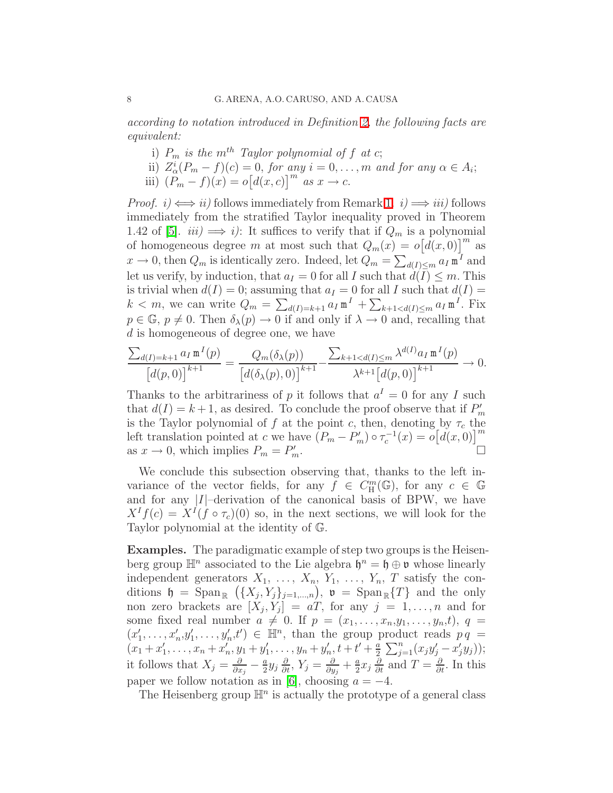according to notation introduced in Definition [2,](#page-3-1) the following facts are equivalent:

- i)  $P_m$  is the m<sup>th</sup> Taylor polynomial of f at c;
- ii)  $Z_{\alpha}^{i}(P_m f)(c) = 0$ , for any  $i = 0, \ldots, m$  and for any  $\alpha \in A_i$ ;
- iii)  $(P_m f)(x) = o[d(x, c)]^m$  as  $x \to c$ .

*Proof.*  $i) \iff ii$  follows immediately from Remark [1.](#page-4-1)  $i) \implies iii$  follows immediately from the stratified Taylor inequality proved in Theorem 1.42 of [\[5\]](#page-21-1).  $iii) \implies i$ ): It suffices to verify that if  $Q_m$  is a polynomial of homogeneous degree m at most such that  $Q_m(x) = o[d(x, 0)]^m$  as  $x \to 0$ , then  $Q_m$  is identically zero. Indeed, let  $Q_m = \sum_{d(I) \le m} a_I \mathbf{m}^I$  and let us verify, by induction, that  $a_I = 0$  for all I such that  $d(I) \leq m$ . This is trivial when  $d(I) = 0$ ; assuming that  $a_I = 0$  for all I such that  $d(I) =$  $k < m$ , we can write  $Q_m = \sum_{d(I)=k+1} a_I m^I + \sum_{k+1 < d(I) \le m} a_I m^I$ . Fix  $p \in \mathbb{G}$ ,  $p \neq 0$ . Then  $\delta_{\lambda}(p) \rightarrow 0$  if and only if  $\lambda \rightarrow 0$  and, recalling that d is homogeneous of degree one, we have

$$
\frac{\sum_{d(I)=k+1} a_I \mathbf{m}^I(p)}{\left[d(p,0)\right]^{k+1}} = \frac{Q_m(\delta_\lambda(p))}{\left[d(\delta_\lambda(p),0)\right]^{k+1}} - \frac{\sum_{k+1 < d(I) \le m} \lambda^{d(I)} a_I \mathbf{m}^I(p)}{\lambda^{k+1} \left[d(p,0)\right]^{k+1}} \to 0.
$$

Thanks to the arbitrariness of p it follows that  $a^I = 0$  for any I such that  $d(I) = k + 1$ , as desired. To conclude the proof observe that if  $P'_m$ is the Taylor polynomial of f at the point c, then, denoting by  $\tau_c$  the left translation pointed at c we have  $(P_m - P'_m) \circ \tau_c^{-1}(x) = o[d(x, 0)]^m$ as  $x \to 0$ , which implies  $P_m = P'_m$  $\sum_{m}$ .

We conclude this subsection observing that, thanks to the left invariance of the vector fields, for any  $\tilde{f} \in C_{\mathbb{H}}^m(\mathbb{G})$ , for any  $c \in \mathbb{G}$ and for any  $|I|$ -derivation of the canonical basis of BPW, we have  $X^{I}f(c) = X^{I}(f \circ \tau_c)(0)$  so, in the next sections, we will look for the Taylor polynomial at the identity of G.

<span id="page-7-0"></span>Examples. The paradigmatic example of step two groups is the Heisenberg group  $\mathbb{H}^n$  associated to the Lie algebra  $\mathfrak{h}^n = \mathfrak{h} \oplus \mathfrak{v}$  whose linearly independent generators  $X_1, \ldots, X_n, Y_1, \ldots, Y_n, T$  satisfy the conditions  $\mathfrak{h} = \mathrm{Span}_{\mathbb{R}} \left( \{ X_j, Y_j \}_{j=1,\dots,n} \right), \mathfrak{v} = \mathrm{Span}_{\mathbb{R}} \{ T \}$  and the only non zero brackets are  $[X_j, Y_j] = aT$ , for any  $j = 1, ..., n$  and for some fixed real number  $a \neq 0$ . If  $p = (x_1, \ldots, x_n, y_1, \ldots, y_n, t)$ ,  $q =$  $(x'_1, \ldots, x'_n, y'_1, \ldots, y'_n, t') \in \mathbb{H}^n$ , than the group product reads  $p q =$  $(x_1+x'_1,\ldots,x_n+x'_n,y_1+y'_1,\ldots,y_n+y'_n,t+t'+\frac{a}{2}$  $\frac{a}{2} \sum_{j=1}^{n} (x_j y'_j - x'_j y_j));$ it follows that  $X_j = \frac{\partial}{\partial x_i}$  $\frac{\partial}{\partial x_j}-\frac{a}{2}$  $\frac{a}{2}y_j\frac{\partial}{\partial t}, Y_j = \frac{\partial}{\partial y}$  $\frac{\partial}{\partial y_j}+\frac{a}{2}$  $\frac{a}{2}x_j \frac{\partial}{\partial t}$  and  $T = \frac{\partial}{\partial t}$ . In this paper we follow notation as in [\[6\]](#page-21-9), choosing  $a = -4$ .

The Heisenberg group  $\mathbb{H}^n$  is actually the prototype of a general class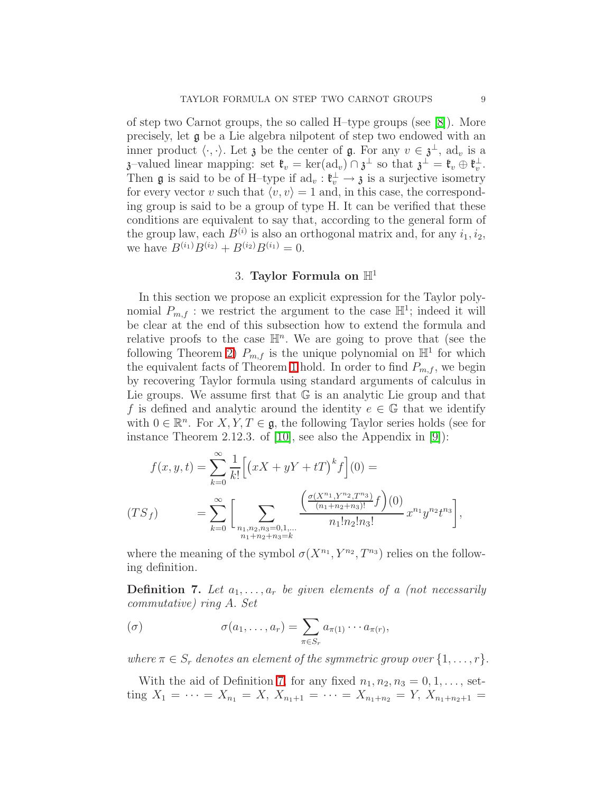of step two Carnot groups, the so called H–type groups (see [\[8\]](#page-21-10)). More precisely, let g be a Lie algebra nilpotent of step two endowed with an inner product  $\langle \cdot, \cdot \rangle$ . Let  $\mathfrak z$  be the center of  $\mathfrak g$ . For any  $v \in \mathfrak z^{\perp}$ , ad<sub>v</sub> is a  $\mathfrak{z}$ -valued linear mapping: set  $\mathfrak{k}_v = \ker(\mathrm{ad}_v) \cap \mathfrak{z}^{\perp}$  so that  $\mathfrak{z}^{\perp} = \mathfrak{k}_v \oplus \mathfrak{k}_v^{\perp}$ . Then **g** is said to be of H-type if  $ad_v : \mathfrak{k}_v^{\perp} \to \mathfrak{z}$  is a surjective isometry for every vector v such that  $\langle v, v \rangle = 1$  and, in this case, the corresponding group is said to be a group of type H. It can be verified that these conditions are equivalent to say that, according to the general form of the group law, each  $B^{(i)}$  is also an orthogonal matrix and, for any  $i_1, i_2$ , we have  $B^{(i_1)}B^{(i_2)} + B^{(i_2)}B^{(i_1)} = 0$ .

## 3. Taylor Formula on  $\mathbb{H}^1$

<span id="page-8-0"></span>In this section we propose an explicit expression for the Taylor polynomial  $P_{m,f}$ : we restrict the argument to the case  $\mathbb{H}^1$ ; indeed it will be clear at the end of this subsection how to extend the formula and relative proofs to the case  $\mathbb{H}^n$ . We are going to prove that (see the following Theorem [2\)](#page-14-0)  $P_{m,f}$  is the unique polynomial on  $\mathbb{H}^1$  for which the equivalent facts of Theorem [1](#page-6-1) hold. In order to find  $P_{m,f}$ , we begin by recovering Taylor formula using standard arguments of calculus in Lie groups. We assume first that  $G$  is an analytic Lie group and that f is defined and analytic around the identity  $e \in \mathbb{G}$  that we identify with  $0 \in \mathbb{R}^n$ . For  $X, Y, T \in \mathfrak{g}$ , the following Taylor series holds (see for instance Theorem 2.12.3. of [\[10\]](#page-21-8), see also the Appendix in [\[9\]](#page-21-11)):

<span id="page-8-2"></span>
$$
f(x, y, t) = \sum_{k=0}^{\infty} \frac{1}{k!} \Big[ \big( xX + yY + tT \big)^k f \Big] (0) =
$$
  

$$
(TS_f) = \sum_{k=0}^{\infty} \Big[ \sum_{\substack{n_1, n_2, n_3 = 0, 1, \dots \\ n_1 + n_2 + n_3 = k}} \frac{\left( \frac{\sigma(X^{n_1}, Y^{n_2}, T^{n_3})}{(n_1 + n_2 + n_3)!} f \right) (0)}{n_1! n_2! n_3!} x^{n_1} y^{n_2} t^{n_3} \Big],
$$

<span id="page-8-1"></span>where the meaning of the symbol  $\sigma(X^{n_1}, Y^{n_2}, T^{n_3})$  relies on the following definition.

**Definition 7.** Let  $a_1, \ldots, a_r$  be given elements of a (not necessarily commutative) ring A. Set

$$
(\sigma) \qquad \sigma(a_1,\ldots,a_r) = \sum_{\pi \in S_r} a_{\pi(1)} \cdots a_{\pi(r)},
$$

where  $\pi \in S_r$  denotes an element of the symmetric group over  $\{1, \ldots, r\}$ .

With the aid of Definition [7,](#page-8-1) for any fixed  $n_1, n_2, n_3 = 0, 1, \ldots$ , setting  $X_1 = \cdots = X_{n_1} = X$ ,  $X_{n_1+1} = \cdots = X_{n_1+n_2} = Y$ ,  $X_{n_1+n_2+1} =$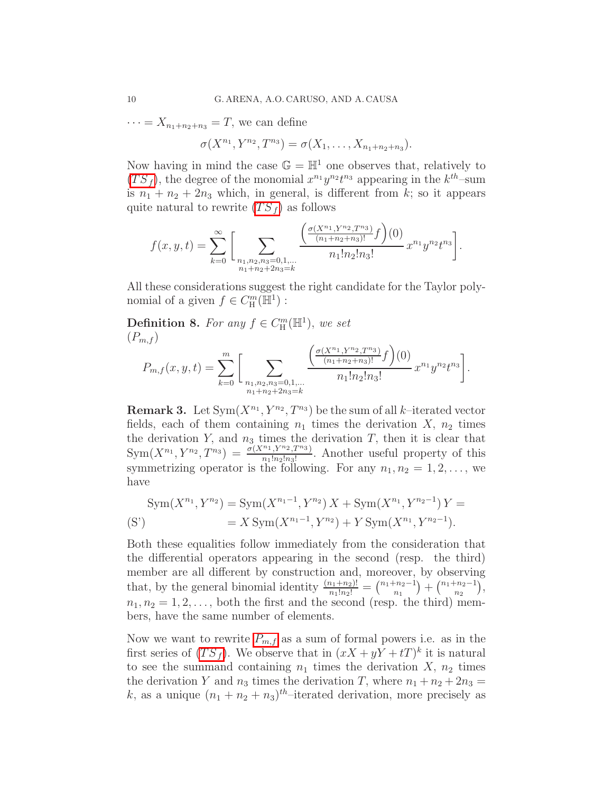$\cdots = X_{n_1+n_2+n_3} = T$ , we can define

$$
\sigma(X^{n_1}, Y^{n_2}, T^{n_3}) = \sigma(X_1, \ldots, X_{n_1+n_2+n_3}).
$$

Now having in mind the case  $\mathbb{G} = \mathbb{H}^1$  one observes that, relatively to  $(TS_f)$  $(TS_f)$  $(TS_f)$ , the degree of the monomial  $x^{n_1}y^{n_2}t^{n_3}$  appearing in the  $k^{th}$ -sum is  $n_1 + n_2 + 2n_3$  which, in general, is different from k; so it appears quite natural to rewrite  $(TS_f)$  $(TS_f)$  $(TS_f)$  as follows

$$
f(x, y, t) = \sum_{k=0}^{\infty} \left[ \sum_{\substack{n_1, n_2, n_3 = 0, 1, \dots \\ n_1 + n_2 + 2n_3 = k}} \frac{\left( \frac{\sigma(X^{n_1}, Y^{n_2}, T^{n_3})}{(n_1 + n_2 + n_3)!} f \right)(0)}{n_1! n_2! n_3!} x^{n_1} y^{n_2} t^{n_3} \right].
$$

All these considerations suggest the right candidate for the Taylor polynomial of a given  $f \in C_{\rm H}^{m}(\overline{\mathbb{H}}^{1})$ :

**Definition 8.** For any  $f \in C_{\mathbb{H}}^{m}(\mathbb{H}^{1}),$  we set  $(P_{m,f})$ 

<span id="page-9-0"></span>
$$
P_{m,f}(x,y,t) = \sum_{k=0}^{m} \bigg[ \sum_{\substack{n_1,n_2,n_3=0,1,\dots \\ n_1+n_2+2n_3=k}} \frac{\left(\frac{\sigma(X^{n_1}, Y^{n_2}, T^{n_3})}{(n_1+n_2+n_3)!} f\right)(0)}{n_1! n_2! n_3!} x^{n_1} y^{n_2} t^{n_3} \bigg].
$$

<span id="page-9-1"></span>**Remark 3.** Let  $Sym(X^{n_1}, Y^{n_2}, T^{n_3})$  be the sum of all k-iterated vector fields, each of them containing  $n_1$  times the derivation X,  $n_2$  times the derivation Y, and  $n_3$  times the derivation T, then it is clear that  $Sym(X^{n_1}, Y^{n_2}, T^{n_3}) = \frac{\sigma(X^{n_1}, Y^{n_2}, T^{n_3})}{n_1! n_2! n_3!}$ . Another useful property of this symmetrizing operator is the following. For any  $n_1, n_2 = 1, 2, \ldots$ , we have

<span id="page-9-2"></span>
$$
Sym(X^{n_1}, Y^{n_2}) = Sym(X^{n_1-1}, Y^{n_2}) X + Sym(X^{n_1}, Y^{n_2-1}) Y =
$$
  
(S') 
$$
= X Sym(X^{n_1-1}, Y^{n_2}) + Y Sym(X^{n_1}, Y^{n_2-1}).
$$

Both these equalities follow immediately from the consideration that the differential operators appearing in the second (resp. the third) member are all different by construction and, moreover, by observing that, by the general binomial identity  $\frac{(n_1+n_2)!}{n_1!n_2!} = \binom{n_1+n_2-1}{n_1}$  ${n_1 - n_2 - 1 \choose n_1} + {n_1 + n_2 - 1 \choose n_2}$  $\binom{n_2-1}{n_2},$  $n_1, n_2 = 1, 2, \ldots$ , both the first and the second (resp. the third) members, have the same number of elements.

Now we want to rewrite  $P_{m,f}$  $P_{m,f}$  $P_{m,f}$  as a sum of formal powers i.e. as in the first series of  $(TS_f)$  $(TS_f)$  $(TS_f)$ . We observe that in  $(xX + yY + tT)^k$  it is natural to see the summand containing  $n_1$  times the derivation  $X$ ,  $n_2$  times the derivation Y and  $n_3$  times the derivation T, where  $n_1 + n_2 + 2n_3 =$ k, as a unique  $(n_1 + n_2 + n_3)^{th}$ -iterated derivation, more precisely as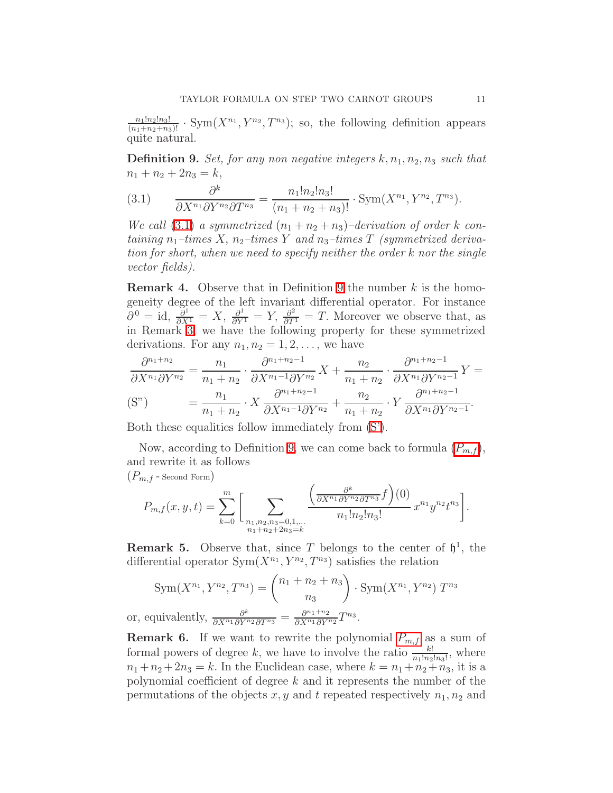<span id="page-10-0"></span> $\frac{n_1!n_2!n_3!}{(n_1+n_2+n_3)!}$  · Sym $(X^{n_1}, Y^{n_2}, T^{n_3})$ ; so, the following definition appears quite natural.

**Definition 9.** Set, for any non negative integers  $k, n_1, n_2, n_3$  such that  $n_1 + n_2 + 2n_3 = k$ ,

<span id="page-10-1"></span>(3.1) 
$$
\frac{\partial^k}{\partial X^{n_1} \partial Y^{n_2} \partial T^{n_3}} = \frac{n_1! n_2! n_3!}{(n_1 + n_2 + n_3)!} \cdot \text{Sym}(X^{n_1}, Y^{n_2}, T^{n_3}).
$$

We call [\(3.1\)](#page-10-1) a symmetrized  $(n_1 + n_2 + n_3)$ -derivation of order k containing  $n_1$ -times X,  $n_2$ -times Y and  $n_3$ -times T (symmetrized derivation for short, when we need to specify neither the order k nor the single vector fields).

<span id="page-10-2"></span>**Remark 4.** Observe that in Definition [9](#page-10-0) the number  $k$  is the homogeneity degree of the left invariant differential operator. For instance  $\partial^0 = id$ ,  $\frac{\partial^1}{\partial X^1} = X$ ,  $\frac{\partial^1}{\partial Y^1} = Y$ ,  $\frac{\partial^2}{\partial T^1} = T$ . Moreover we observe that, as in Remark [3,](#page-9-1) we have the following property for these symmetrized derivations. For any  $n_1, n_2 = 1, 2, \ldots$ , we have

$$
\frac{\partial^{n_1+n_2}}{\partial X^{n_1} \partial Y^{n_2}} = \frac{n_1}{n_1 + n_2} \cdot \frac{\partial^{n_1+n_2-1}}{\partial X^{n_1-1} \partial Y^{n_2}} X + \frac{n_2}{n_1 + n_2} \cdot \frac{\partial^{n_1+n_2-1}}{\partial X^{n_1} \partial Y^{n_2-1}} Y =
$$
\n(S")\n
$$
= \frac{n_1}{n_1 + n_2} \cdot X \frac{\partial^{n_1+n_2-1}}{\partial X^{n_1-1} \partial Y^{n_2}} + \frac{n_2}{n_1 + n_2} \cdot Y \frac{\partial^{n_1+n_2-1}}{\partial X^{n_1} \partial Y^{n_2-1}}.
$$

Both these equalities follow immediately from [\(S'\)](#page-9-2).

Now, according to Definition [9,](#page-10-0) we can come back to formula  $(P_{m,f})$  $(P_{m,f})$  $(P_{m,f})$ , and rewrite it as follows

$$
(P_{m,f}
$$
 - Second Form)

<span id="page-10-3"></span>
$$
P_{m,f}(x,y,t) = \sum_{k=0}^{m} \bigg[ \sum_{\substack{n_1,n_2,n_3=0,1,\dots \\ n_1+n_2+2n_3=k}} \frac{\left(\frac{\partial^k}{\partial X^{n_1} \partial Y^{n_2} \partial T^{n_3}} f\right)(0)}{n_1! n_2! n_3!} x^{n_1} y^{n_2} t^{n_3} \bigg].
$$

**Remark 5.** Observe that, since T belongs to the center of  $\mathfrak{h}^1$ , the differential operator  $Sym(X^{n_1}, Y^{n_2}, T^{n_3})$  satisfies the relation

$$
Sym(X^{n_1}, Y^{n_2}, T^{n_3}) = {n_1 + n_2 + n_3 \choose n_3} \cdot Sym(X^{n_1}, Y^{n_2}) T^{n_3}
$$
  
or, equivalently, 
$$
\frac{\partial^k}{\partial X^{n_1} \partial Y^{n_2} \partial T^{n_3}} = \frac{\partial^{n_1 + n_2}}{\partial X^{n_1} \partial Y^{n_2}} T^{n_3}.
$$

**Remark 6.** If we want to rewrite the polynomial  $P_{m,f}$  $P_{m,f}$  $P_{m,f}$  as a sum of formal powers of degree k, we have to involve the ratio  $\frac{k!}{n_1!n_2!n_3!}$ , where  $n_1 + n_2 + 2n_3 = k$ . In the Euclidean case, where  $k = n_1 + n_2 + n_3$ , it is a polynomial coefficient of degree  $k$  and it represents the number of the permutations of the objects  $x, y$  and t repeated respectively  $n_1, n_2$  and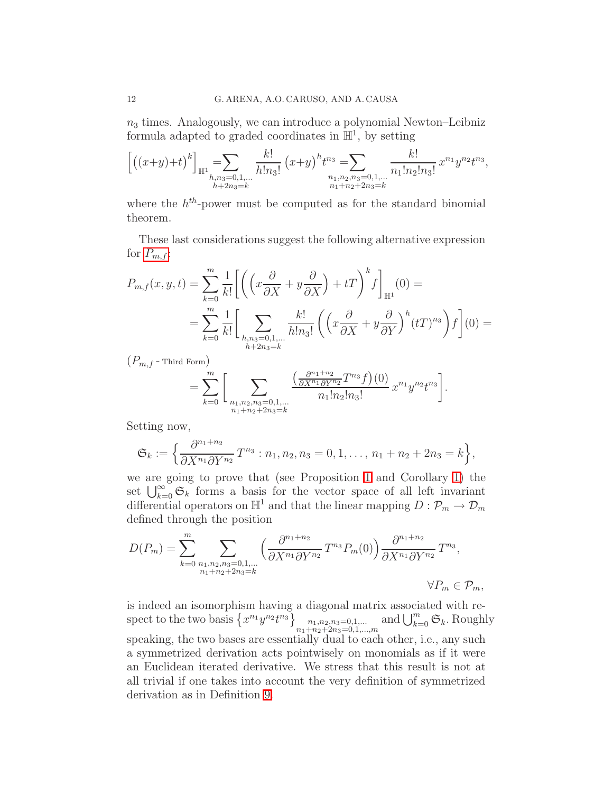$n_3$  times. Analogously, we can introduce a polynomial Newton–Leibniz formula adapted to graded coordinates in  $\mathbb{H}^1$ , by setting

$$
\[((x+y)+t)^k\]_{\mathbb{H}^1} = \sum_{\substack{h,n_3=0,1,\ldots\\h+2n_3=k}}\frac{k!}{h!n_3!} (x+y)^h t^{n_3} = \sum_{\substack{n_1,n_2,n_3=0,1,\ldots\\n_1+n_2+2n_3=k}}\frac{k!}{n_1!n_2!n_3!} x^{n_1} y^{n_2} t^{n_3},
$$

where the  $h^{th}$ -power must be computed as for the standard binomial theorem.

These last considerations suggest the following alternative expression for  $P_{m,f}$  $P_{m,f}$  $P_{m,f}$ :

$$
P_{m,f}(x,y,t) = \sum_{k=0}^{m} \frac{1}{k!} \left[ \left( \left( x \frac{\partial}{\partial X} + y \frac{\partial}{\partial X} \right) + tT \right)^k f \right]_{\mathbb{H}^1}(0) =
$$
  

$$
= \sum_{k=0}^{m} \frac{1}{k!} \left[ \sum_{\substack{h,n_3=0,1,\dots\\h+2n_3=k}} \frac{k!}{h!n_3!} \left( \left( x \frac{\partial}{\partial X} + y \frac{\partial}{\partial Y} \right)^h (tT)^{n_3} \right) f \right] (0) =
$$

 $(P_{m,f}$  - Third Form)

<span id="page-11-0"></span>
$$
= \sum_{k=0}^{m} \bigg[ \sum_{\substack{n_1, n_2, n_3 = 0, 1, \dots \\ n_1 + n_2 + 2n_3 = k}} \frac{\left(\frac{\partial^{n_1 + n_2}}{\partial X^{n_1} \partial Y^{n_2}} T^{n_3} f\right)(0)}{n_1! n_2! n_3!} x^{n_1} y^{n_2} t^{n_3} \bigg].
$$

Setting now,

$$
\mathfrak{S}_k := \left\{ \frac{\partial^{n_1+n_2}}{\partial X^{n_1} \partial Y^{n_2}} T^{n_3} : n_1, n_2, n_3 = 0, 1, \ldots, n_1 + n_2 + 2n_3 = k \right\},\,
$$

we are going to prove that (see Proposition [1](#page-12-0) and Corollary [1\)](#page-13-0) the set  $\bigcup_{k=0}^{\infty} \mathfrak{S}_k$  forms a basis for the vector space of all left invariant differential operators on  $\mathbb{H}^1$  and that the linear mapping  $D: \mathcal{P}_m \to \mathcal{D}_m$ defined through the position

$$
D(P_m) = \sum_{k=0}^{m} \sum_{\substack{n_1, n_2, n_3 = 0, 1, \dots \\ n_1 + n_2 + 2n_3 = k}} \left( \frac{\partial^{n_1 + n_2}}{\partial X^{n_1} \partial Y^{n_2}} T^{n_3} P_m(0) \right) \frac{\partial^{n_1 + n_2}}{\partial X^{n_1} \partial Y^{n_2}} T^{n_3},
$$
  

$$
\forall P_m \in \mathcal{P}_m,
$$

is indeed an isomorphism having a diagonal matrix associated with respect to the two basis  $\left\{x^{n_1}y^{n_2}t^{n_3}\right\}_{\substack{n_1,n_2,n_3=0,1,\ldots,n\\n_1+n_2+2n_3=0,1,\ldots,n}}$  and  $\bigcup_{k=0}^m \mathfrak{S}_k$ . Roughly speaking, the two bases are essentially dual to each other, i.e., any such a symmetrized derivation acts pointwisely on monomials as if it were an Euclidean iterated derivative. We stress that this result is not at all trivial if one takes into account the very definition of symmetrized derivation as in Definition [9.](#page-10-0)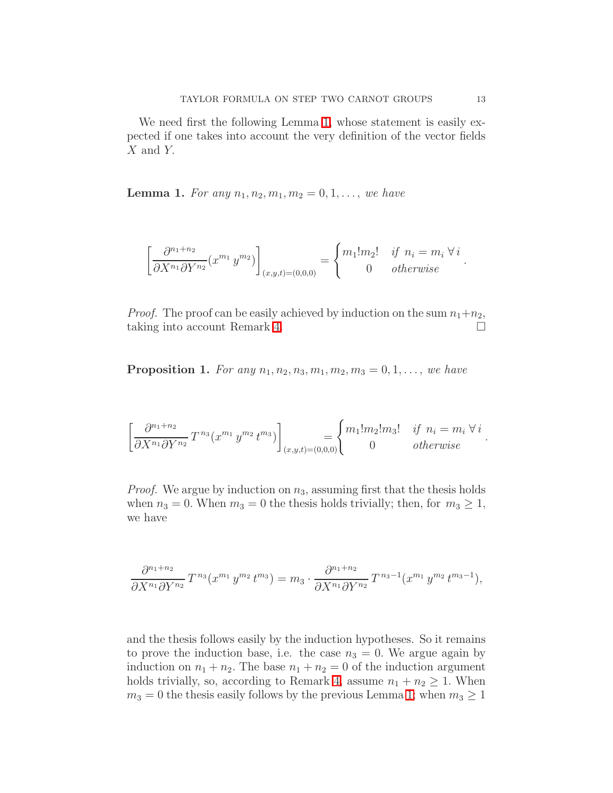<span id="page-12-1"></span>We need first the following Lemma [1,](#page-12-1) whose statement is easily expected if one takes into account the very definition of the vector fields X and Y.

**Lemma 1.** For any  $n_1, n_2, m_1, m_2 = 0, 1, \ldots$ , we have

$$
\left[\frac{\partial^{n_1+n_2}}{\partial X^{n_1} \partial Y^{n_2}} (x^{m_1} y^{m_2})\right]_{(x,y,t)=(0,0,0)} = \begin{cases} m_1! m_2! & \text{if } n_i = m_i \,\forall \, i \\ 0 & \text{otherwise} \end{cases}.
$$

*Proof.* The proof can be easily achieved by induction on the sum  $n_1+n_2$ , taking into account Remark [4.](#page-10-2)

<span id="page-12-0"></span>**Proposition 1.** For any  $n_1, n_2, n_3, m_1, m_2, m_3 = 0, 1, \ldots$ , we have

$$
\left[\frac{\partial^{n_1+n_2}}{\partial X^{n_1} \partial Y^{n_2}} T^{n_3} (x^{m_1} y^{m_2} t^{m_3})\right]_{(x,y,t)=(0,0,0)} = \begin{cases} m_1! m_2! m_3! & \text{if } n_i = m_i \,\forall \, i \\ 0 & \text{otherwise} \end{cases}.
$$

*Proof.* We argue by induction on  $n_3$ , assuming first that the thesis holds when  $n_3 = 0$ . When  $m_3 = 0$  the thesis holds trivially; then, for  $m_3 \geq 1$ , we have

$$
\frac{\partial^{n_1+n_2}}{\partial X^{n_1} \partial Y^{n_2}} T^{n_3}(x^{m_1} y^{m_2} t^{m_3}) = m_3 \cdot \frac{\partial^{n_1+n_2}}{\partial X^{n_1} \partial Y^{n_2}} T^{n_3-1}(x^{m_1} y^{m_2} t^{m_3-1}),
$$

and the thesis follows easily by the induction hypotheses. So it remains to prove the induction base, i.e. the case  $n_3 = 0$ . We argue again by induction on  $n_1 + n_2$ . The base  $n_1 + n_2 = 0$  of the induction argument holds trivially, so, according to Remark [4,](#page-10-2) assume  $n_1 + n_2 \geq 1$ . When  $m_3 = 0$  the thesis easily follows by the previous Lemma [1;](#page-12-1) when  $m_3 \geq 1$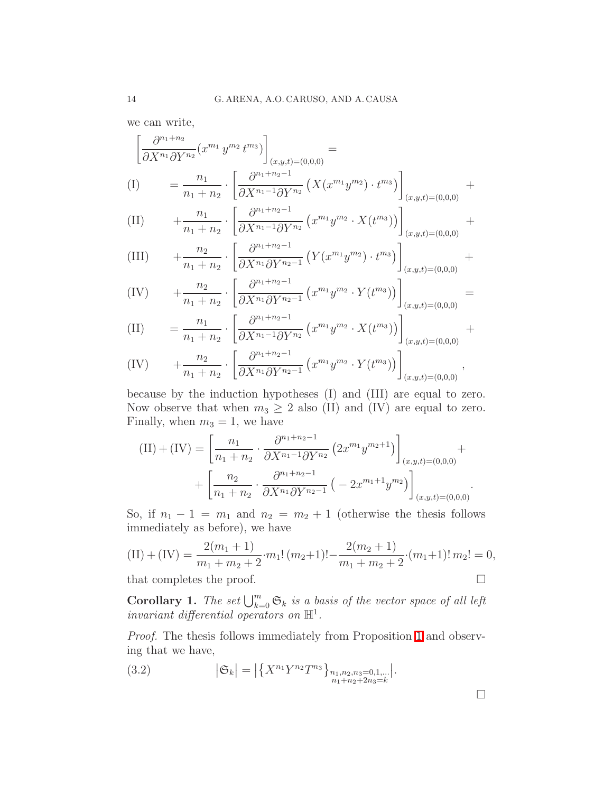we can write,

$$
\left[\frac{\partial^{n_1+n_2}}{\partial X^{n_1} \partial Y^{n_2}} (x^{m_1} y^{m_2} t^{m_3})\right]_{(x,y,t)=(0,0,0)} =
$$
\n
$$
(I) \qquad = \frac{n_1}{n_1+n_2} \cdot \left[\frac{\partial^{n_1+n_2-1}}{\partial X^{n_1-1} \partial Y^{n_2}} \left(X(x^{m_1} y^{m_2}) \cdot t^{m_3}\right)\right]_{(x,y,t)=(0,0,0)} +
$$

(II) 
$$
+ \frac{n_1}{n_1 + n_2} \cdot \left[ \frac{\partial^{n_1 + n_2 - 1}}{\partial X^{n_1 - 1} \partial Y^{n_2}} \left( x^{m_1} y^{m_2} \cdot X(t^{m_3}) \right) \right]_{(x, y, t) = (0, 0, 0)} +
$$

(III) 
$$
+ \frac{n_2}{n_1 + n_2} \cdot \left[ \frac{\partial^{n_1 + n_2 - 1}}{\partial X^{n_1} \partial Y^{n_2 - 1}} \left( Y(x^{m_1} y^{m_2}) \cdot t^{m_3} \right) \right]_{(x, y, t) = (0, 0, 0)} +
$$

(IV) 
$$
+ \frac{n_2}{n_1 + n_2} \cdot \left[ \frac{\partial^{n_1 + n_2 - 1}}{\partial X^{n_1} \partial Y^{n_2 - 1}} \left( x^{m_1} y^{m_2} \cdot Y(t^{m_3}) \right) \right]_{(x, y, t) = (0, 0, 0)} =
$$

(II) 
$$
= \frac{n_1}{n_1 + n_2} \cdot \left[ \frac{\partial^{n_1 + n_2 - 1}}{\partial X^{n_1 - 1} \partial Y^{n_2}} \left( x^{m_1} y^{m_2} \cdot X(t^{m_3}) \right) \right]_{(x, y, t) = (0, 0, 0)} +
$$

(IV) 
$$
+ \frac{n_2}{n_1 + n_2} \cdot \left[ \frac{\partial^{n_1 + n_2 - 1}}{\partial X^{n_1} \partial Y^{n_2 - 1}} \left( x^{m_1} y^{m_2} \cdot Y(t^{m_3}) \right) \right]_{(x, y, t) = (0, 0, 0)},
$$

because by the induction hypotheses (I) and (III) are equal to zero. Now observe that when  $m_3 \geq 2$  also (II) and (IV) are equal to zero. Finally, when  $m_3 = 1$ , we have

$$
(II) + (IV) = \left[\frac{n_1}{n_1 + n_2} \cdot \frac{\partial^{n_1 + n_2 - 1}}{\partial X^{n_1 - 1} \partial Y^{n_2}} \left(2x^{m_1} y^{m_2 + 1}\right)\right]_{(x, y, t) = (0, 0, 0)} + \left[\frac{n_2}{n_1 + n_2} \cdot \frac{\partial^{n_1 + n_2 - 1}}{\partial X^{n_1} \partial Y^{n_2 - 1}} \left(-2x^{m_1 + 1} y^{m_2}\right)\right]_{(x, y, t) = (0, 0, 0)}.
$$

So, if  $n_1 - 1 = m_1$  and  $n_2 = m_2 + 1$  (otherwise the thesis follows immediately as before), we have

(II) + (IV) = 
$$
\frac{2(m_1 + 1)}{m_1 + m_2 + 2} \cdot m_1! (m_2 + 1)! - \frac{2(m_2 + 1)}{m_1 + m_2 + 2} \cdot (m_1 + 1)! m_2! = 0,
$$
  
that completes the proof.

<span id="page-13-0"></span>**Corollary 1.** The set  $\bigcup_{k=0}^{m} \mathfrak{S}_k$  is a basis of the vector space of all left invariant differential operators on  $\mathbb{H}^1$ .

Proof. The thesis follows immediately from Proposition [1](#page-12-0) and observing that we have,

(3.2) 
$$
|\mathfrak{S}_k| = |\{X^{n_1}Y^{n_2}T^{n_3}\}_{\substack{n_1,n_2,n_3=0,1,\dots\\ n_1+n_2+2n_3=k}}|.
$$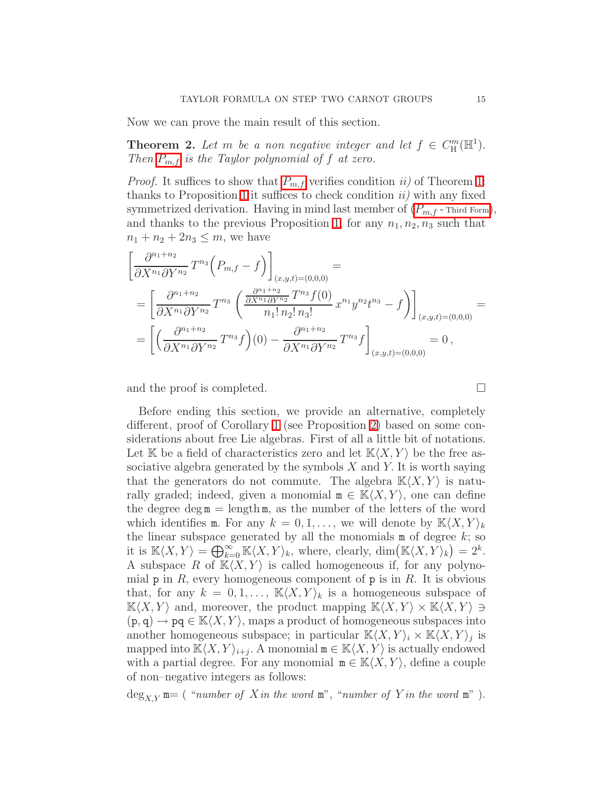<span id="page-14-0"></span>Now we can prove the main result of this section.

**Theorem 2.** Let m be a non negative integer and let  $f \in C_{\mathbb{H}}^{m}(\mathbb{H}^{1}).$ Then  $P_{m,f}$  $P_{m,f}$  $P_{m,f}$  is the Taylor polynomial of f at zero.

*Proof.* It suffices to show that  $P_{m,f}$  $P_{m,f}$  $P_{m,f}$  verifies condition ii) of Theorem [1:](#page-6-1) thanks to Proposition [1](#page-12-0) it suffices to check condition  $ii$ ) with any fixed symmetrized derivation. Having in mind last member of  $(P_{m,f}$ -[Third Form](#page-11-0)), and thanks to the previous Proposition [1,](#page-12-0) for any  $n_1, n_2, n_3$  such that  $n_1 + n_2 + 2n_3 \le m$ , we have

$$
\begin{split}\n&\left[\frac{\partial^{n_{1}+n_{2}}}{\partial X^{n_{1}}\partial Y^{n_{2}}}T^{n_{3}}\left(P_{m,f}-f\right)\right]_{(x,y,t)=(0,0,0)} \\
&=\left[\frac{\partial^{n_{1}+n_{2}}}{\partial X^{n_{1}}\partial Y^{n_{2}}}T^{n_{3}}\left(\frac{\frac{\partial^{n_{1}+n_{2}}}{\partial X^{n_{1}}\partial Y^{n_{2}}}T^{n_{3}}f(0)}{n_{1}!n_{2}!n_{3}!}x^{n_{1}}y^{n_{2}}t^{n_{3}}-f\right)\right]_{(x,y,t)=(0,0,0)} \\
&=\left[\left(\frac{\partial^{n_{1}+n_{2}}}{\partial X^{n_{1}}\partial Y^{n_{2}}}T^{n_{3}}f\right)(0)-\frac{\partial^{n_{1}+n_{2}}}{\partial X^{n_{1}}\partial Y^{n_{2}}}T^{n_{3}}f\right]_{(x,y,t)=(0,0,0)}=0\,,\n\end{split}
$$

and the proof is completed.

Before ending this section, we provide an alternative, completely different, proof of Corollary [1](#page-13-0) (see Proposition [2\)](#page-16-0) based on some considerations about free Lie algebras. First of all a little bit of notations. Let K be a field of characteristics zero and let  $K(X, Y)$  be the free associative algebra generated by the symbols  $X$  and  $Y$ . It is worth saying that the generators do not commute. The algebra  $K\langle X, Y \rangle$  is naturally graded; indeed, given a monomial  $m \in K\langle X, Y \rangle$ , one can define the degree deg  $m = \text{length } m$ , as the number of the letters of the word which identifies m. For any  $k = 0, 1, \ldots$ , we will denote by  $\mathbb{K}\langle X, Y \rangle_k$ the linear subspace generated by all the monomials  $m$  of degree  $k$ ; so it is  $\mathbb{K}\langle X, Y\rangle = \bigoplus_{k=0}^{\infty} \mathbb{K}\langle X, Y\rangle_k$ , where, clearly,  $\dim(\mathbb{K}\langle X, Y\rangle_k) = 2^k$ . A subspace R of  $\mathbb{K}\langle X, Y \rangle$  is called homogeneous if, for any polynomial  $p$  in R, every homogeneous component of  $p$  is in R. It is obvious that, for any  $k = 0, 1, \ldots, K\langle X, Y \rangle_k$  is a homogeneous subspace of  $\mathbb{K}\langle X, Y \rangle$  and, moreover, the product mapping  $\mathbb{K}\langle X, Y \rangle \times \mathbb{K}\langle X, Y \rangle \ni$  $(p, q) \rightarrow pq \in K\langle X, Y \rangle$ , maps a product of homogeneous subspaces into another homogeneous subspace; in particular  $\mathbb{K}\langle X, Y\rangle_i \times \mathbb{K}\langle X, Y\rangle_j$  is mapped into  $\mathbb{K}\langle X, Y\rangle_{i+j}$ . A monomial  $\mathfrak{m} \in \mathbb{K}\langle X, Y\rangle$  is actually endowed with a partial degree. For any monomial  $\mathfrak{m} \in \mathbb{K}\langle X, Y \rangle$ , define a couple of non–negative integers as follows:

 $\deg_{X,Y}$  m= ( "number of Xin the word m", "number of Yin the word m").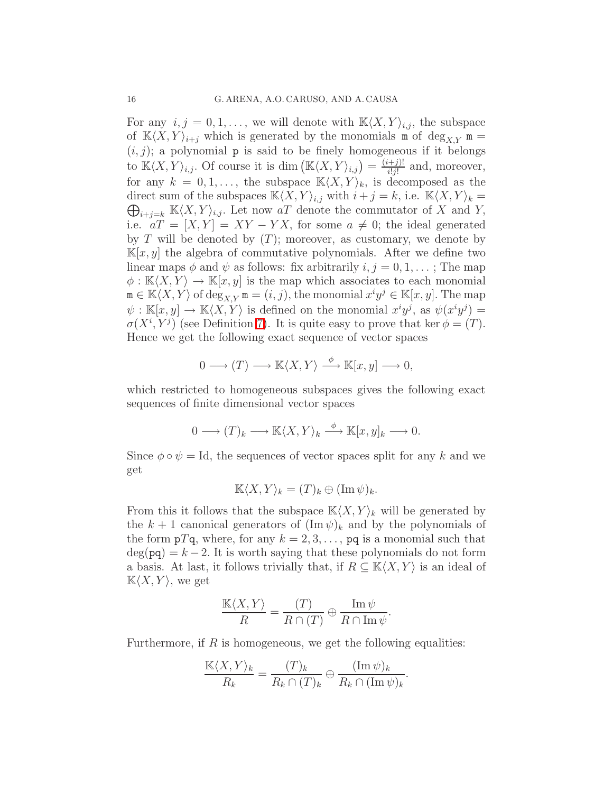For any  $i, j = 0, 1, \ldots$ , we will denote with  $\mathbb{K}\langle X, Y \rangle_{i,j}$ , the subspace of  $K\langle X, Y\rangle_{i+j}$  which is generated by the monomials m of  $\deg_{X,Y}$  m =  $(i, j)$ ; a polynomial **p** is said to be finely homogeneous if it belongs to  $\mathbb{K}\langle X, Y\rangle_{i,j}$ . Of course it is dim  $(\mathbb{K}\langle X, Y\rangle_{i,j}) = \frac{(i+j)!}{i!j!}$  $\frac{(-1)^{1}}{i!j!}$  and, moreover, for any  $k = 0, 1, \ldots$ , the subspace  $\mathbb{K}\langle X, Y \rangle_k$ , is decomposed as the  $\bigoplus_{i+j=k} \mathbb{K}\langle X, Y\rangle_{i,j}$ . Let now aT denote the commutator of X and Y, direct sum of the subspaces  $\mathbb{K}\langle X, Y\rangle_{i,j}$  with  $i + j = k$ , i.e.  $\mathbb{K}\langle X, Y\rangle_k =$ i.e.  $aT = [X, Y] = XY - YX$ , for some  $a \neq 0$ ; the ideal generated by T will be denoted by  $(T)$ ; moreover, as customary, we denote by  $\mathbb{K}[x, y]$  the algebra of commutative polynomials. After we define two linear maps  $\phi$  and  $\psi$  as follows: fix arbitrarily  $i, j = 0, 1, \ldots$ ; The map  $\phi : \mathbb{K}\langle X, Y \rangle \to \mathbb{K}[x, y]$  is the map which associates to each monomial  $\mathbf{m} \in \mathbb{K}\langle X, Y\rangle$  of  $\deg_{X,Y} \mathbf{m} = (i, j)$ , the monomial  $x^i y^j \in \mathbb{K}[x, y]$ . The map  $\psi: \mathbb{K}[x,y] \to \mathbb{K}\langle X,Y\rangle$  is defined on the monomial  $x^i y^j$ , as  $\psi(x^i y^j) =$  $\sigma(X^i, Y^j)$  (see Definition [7\)](#page-8-1). It is quite easy to prove that ker  $\phi = (T)$ . Hence we get the following exact sequence of vector spaces

$$
0 \longrightarrow (T) \longrightarrow \mathbb{K}\langle X, Y\rangle \stackrel{\phi}{\longrightarrow} \mathbb{K}[x, y] \longrightarrow 0,
$$

which restricted to homogeneous subspaces gives the following exact sequences of finite dimensional vector spaces

$$
0 \longrightarrow (T)_k \longrightarrow \mathbb{K}\langle X, Y\rangle_k \stackrel{\phi}{\longrightarrow} \mathbb{K}[x, y]_k \longrightarrow 0.
$$

Since  $\phi \circ \psi = \text{Id}$ , the sequences of vector spaces split for any k and we get

$$
\mathbb{K}\langle X,Y\rangle_k = (T)_k \oplus (\operatorname{Im}\psi)_k.
$$

From this it follows that the subspace  $\mathbb{K}\langle X, Y \rangle_k$  will be generated by the  $k + 1$  canonical generators of  $(\text{Im }\psi)_k$  and by the polynomials of the form  $pTq$ , where, for any  $k = 2, 3, \ldots$ , pq is a monomial such that  $deg(pq) = k - 2$ . It is worth saying that these polynomials do not form a basis. At last, it follows trivially that, if  $R \subseteq K\langle X, Y \rangle$  is an ideal of  $K\langle X, Y \rangle$ , we get

$$
\frac{\mathbb{K}\langle X, Y\rangle}{R} = \frac{(T)}{R \cap (T)} \oplus \frac{\operatorname{Im} \psi}{R \cap \operatorname{Im} \psi}.
$$

<span id="page-15-0"></span>Furthermore, if  $R$  is homogeneous, we get the following equalities:

$$
\frac{\mathbb{K}\langle X, Y\rangle_k}{R_k} = \frac{(T)_k}{R_k \cap (T)_k} \oplus \frac{(\operatorname{Im} \psi)_k}{R_k \cap (\operatorname{Im} \psi)_k}.
$$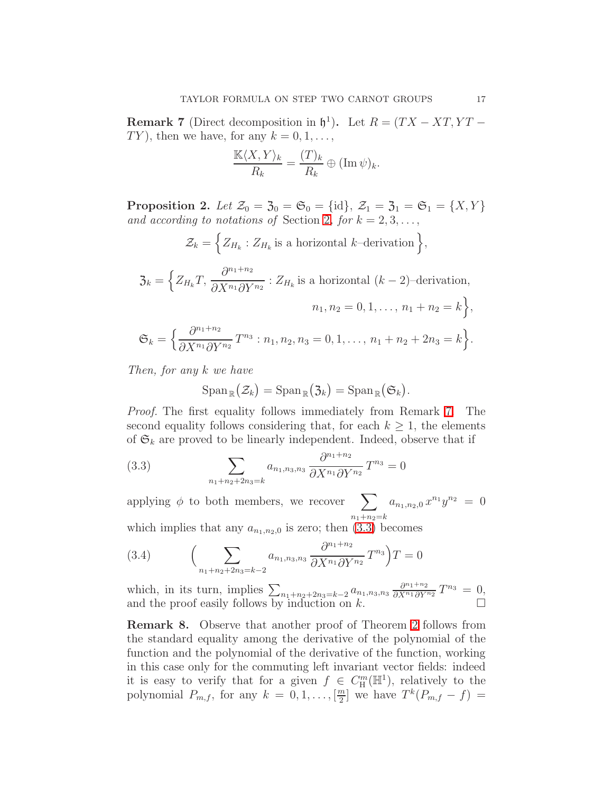**Remark 7** (Direct decomposition in  $\mathfrak{h}^1$ ). Let  $R = (TX - XT, YT - T)$  $TY$ ), then we have, for any  $k = 0, 1, \ldots$ ,

$$
\frac{\mathbb{K}\langle X, Y\rangle_k}{R_k} = \frac{(T)_k}{R_k} \oplus (\operatorname{Im} \psi)_k.
$$

<span id="page-16-0"></span>Proposition 2. Let  $\mathcal{Z}_0 = \mathcal{Z}_0 = \mathfrak{S}_0 = {\text{id}}$ ,  $\mathcal{Z}_1 = \mathcal{Z}_1 = \mathfrak{S}_1 = \{X, Y\}$ and according to notations of Section [2](#page-2-0), for  $k = 2, 3, \ldots$ ,

$$
\mathcal{Z}_k = \Big\{ Z_{H_k} : Z_{H_k} \text{ is a horizontal } k\text{-derivation} \Big\},\
$$

$$
\mathfrak{Z}_k = \Big\{ Z_{H_k} T, \frac{\partial^{n_1+n_2}}{\partial X^{n_1} \partial Y^{n_2}} : Z_{H_k} \text{ is a horizontal } (k-2)\text{-derivation},
$$

$$
n_1, n_2 = 0, 1, \dots, n_1 + n_2 = k \Big\},
$$

$$
\mathfrak{S}_k = \Big\{ \frac{\partial^{n_1+n_2}}{\partial X^{n_1} \partial Y^{n_2}} T^{n_3} : n_1, n_2, n_3 = 0, 1, \dots, n_1 + n_2 + 2n_3 = k \Big\}.
$$

Then, for any k we have

$$
\mathrm{Span}_{\mathbb{R}}(\mathcal{Z}_k) = \mathrm{Span}_{\mathbb{R}}(\mathfrak{Z}_k) = \mathrm{Span}_{\mathbb{R}}(\mathfrak{S}_k).
$$

Proof. The first equality follows immediately from Remark [7.](#page-15-0) The second equality follows considering that, for each  $k \geq 1$ , the elements of  $\mathfrak{S}_k$  are proved to be linearly independent. Indeed, observe that if

<span id="page-16-1"></span>(3.3) 
$$
\sum_{n_1+n_2+2n_3=k} a_{n_1,n_3,n_3} \frac{\partial^{n_1+n_2}}{\partial X^{n_1} \partial Y^{n_2}} T^{n_3} = 0
$$

applying  $\phi$  to both members, we recover  $\sum$  $n_1+n_2=k$  $a_{n_1,n_2,0} x^{n_1} y^{n_2} = 0$ which implies that any  $a = 0$  is zero; then  $(3.3)$  becomes

which implies that any 
$$
u_{n_1,n_2,0}
$$
 is zero, then (5.5) become:  

$$
\partial^{n_1+n_2} \cdot \nabla^{n_2}
$$

(3.4) 
$$
\left(\sum_{n_1+n_2+2n_3=k-2} a_{n_1,n_3,n_3} \frac{\partial^{n_1+n_2}}{\partial X^{n_1} \partial Y^{n_2}} T^{n_3}\right) T = 0
$$

which, in its turn, implies  $\sum_{n_1+n_2+2n_3=k-2} a_{n_1,n_3,n_3} \frac{\partial^{n_1+n_2}}{\partial X^{n_1} \partial Y^{n_2}} T^{n_3} = 0$ , and the proof easily follows by induction on k.

Remark 8. Observe that another proof of Theorem [2](#page-14-0) follows from the standard equality among the derivative of the polynomial of the function and the polynomial of the derivative of the function, working in this case only for the commuting left invariant vector fields: indeed it is easy to verify that for a given  $f \in C_{\mathcal{H}}^{m}(\mathbb{H}^{1}),$  relatively to the polynomial  $P_{m,f}$ , for any  $k = 0, 1, \ldots, \lceil \frac{m}{2} \rceil$  $\frac{m}{2}$  we have  $T^k(P_{m,f} - f) =$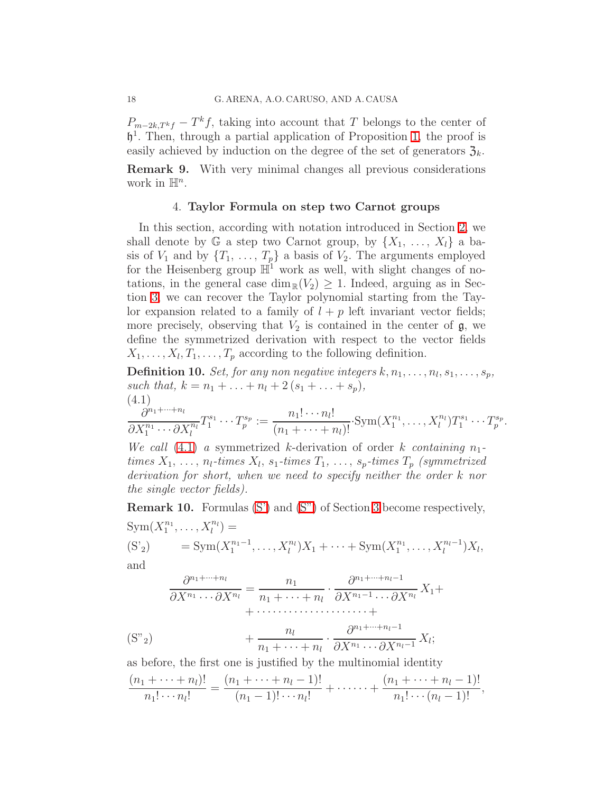$P_{m-2k,T^k f} - T^k f$ , taking into account that T belongs to the center of h 1 . Then, through a partial application of Proposition [1,](#page-12-0) the proof is easily achieved by induction on the degree of the set of generators  $\mathfrak{Z}_k$ . Remark 9. With very minimal changes all previous considerations

<span id="page-17-0"></span>work in  $\mathbb{H}^n$ .

## 4. Taylor Formula on step two Carnot groups

In this section, according with notation introduced in Section [2,](#page-2-0) we shall denote by G a step two Carnot group, by  $\{X_1, \ldots, X_l\}$  a basis of  $V_1$  and by  $\{T_1, \ldots, T_p\}$  a basis of  $V_2$ . The arguments employed for the Heisenberg group  $\mathbb{H}^1$  work as well, with slight changes of notations, in the general case  $\dim_{\mathbb{R}}(V_2) \geq 1$ . Indeed, arguing as in Section [3,](#page-8-0) we can recover the Taylor polynomial starting from the Taylor expansion related to a family of  $l + p$  left invariant vector fields; more precisely, observing that  $V_2$  is contained in the center of  $\mathfrak{g}$ , we define the symmetrized derivation with respect to the vector fields  $X_1, \ldots, X_l, T_1, \ldots, T_p$  according to the following definition.

**Definition 10.** Set, for any non negative integers  $k, n_1, \ldots, n_l, s_1, \ldots, s_p$ , such that,  $k = n_1 + ... + n_l + 2(s_1 + ... + s_p)$ , (4.1)

<span id="page-17-1"></span>
$$
\frac{\partial^{n_1+\dots+n_l}}{\partial X_1^{n_1}\cdots \partial X_l^{n_l}}T_1^{s_1}\cdots T_p^{s_p} := \frac{n_1!\cdots n_l!}{(n_1+\cdots+n_l)!}\cdot \text{Sym}(X_1^{n_1},\dots,X_l^{n_l})T_1^{s_1}\cdots T_p^{s_p}.
$$

We call  $(4.1)$  a symmetrized k-derivation of order k containing  $n_1$ times  $X_1, \ldots, n_l$ -times  $X_l, s_1$ -times  $T_1, \ldots, s_p$ -times  $T_p$  (symmetrized) derivation for short, when we need to specify neither the order k nor the single vector fields).

<span id="page-17-3"></span>Remark 10. Formulas [\(S'\)](#page-9-2) and [\(S"\)](#page-10-3) of Section [3](#page-8-0) become respectively,  $Sym(X_1^{n_1})$  $X_1^{n_1}, \ldots, X_l^{n_l}$  =

(S'<sub>2</sub>) = Sym(
$$
X_1^{n_1-1},...,X_l^{n_l}
$$
) $X_1 + \cdots + Sym(X_1^{n_1},...,X_l^{n_l-1})X_l$ ,  
and

$$
\frac{\partial^{n_1+\dots+n_l}}{\partial X^{n_1}\dots\partial X^{n_l}} = \frac{n_1}{n_1+\dots+n_l} \cdot \frac{\partial^{n_1+\dots+n_l-1}}{\partial X^{n_1-1}\dots\partial X^{n_l}} X_1 + \dots + \frac{n_l}{n_1+\dots+n_l} \cdot \frac{\partial^{n_1+\dots+n_l-1}}{\partial X^{n_1}\dots\partial X^{n_l-1}} X_l;
$$
\n(S<sup>n</sup><sub>2</sub>)

as before, the first one is justified by the multinomial identity

<span id="page-17-2"></span>
$$
\frac{(n_1+\cdots+n_l)!}{n_1!\cdots n_l!}=\frac{(n_1+\cdots+n_l-1)!}{(n_1-1)!\cdots n_l!}+\cdots+\frac{(n_1+\cdots+n_l-1)!}{n_1!\cdots (n_l-1)!},
$$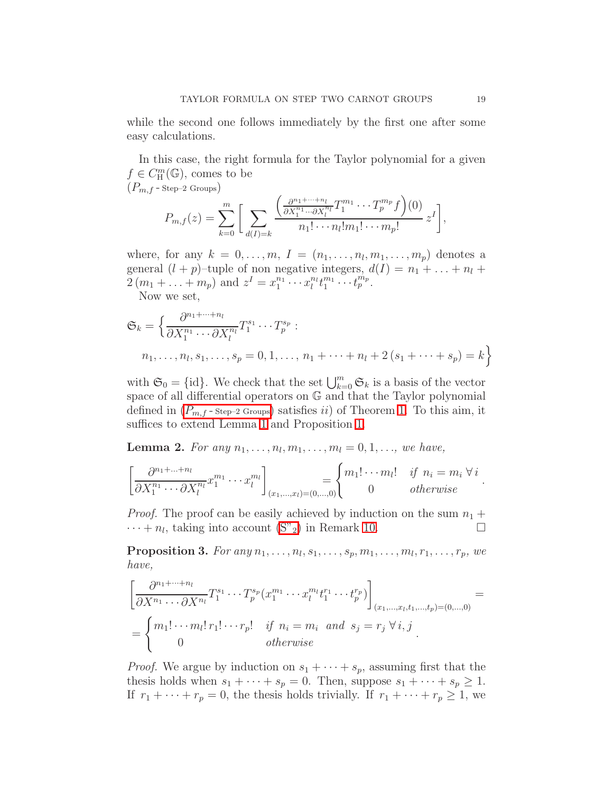while the second one follows immediately by the first one after some easy calculations.

In this case, the right formula for the Taylor polynomial for a given  $f \in C_{\rm H}^{m}(\mathbb{G})$ , comes to be  $(P_{m,f}$  - Step–2 Groups)

<span id="page-18-0"></span>
$$
P_{m,f}(z) = \sum_{k=0}^m \bigg[ \sum_{d(I)=k} \frac{\left(\frac{\partial^{n_1+\cdots+n_l}}{\partial X_1^{n_1}\cdots \partial X_l^{n_l}} T_1^{m_1}\cdots T_p^{m_p}f\right)(0)}{n_1!\cdots n_l!m_1!\cdots m_p!} z^I \bigg],
$$

where, for any  $k = 0, \ldots, m, I = (n_1, \ldots, n_l, m_1, \ldots, m_p)$  denotes a general  $(l + p)$ -tuple of non negative integers,  $d(I) = n_1 + \ldots + n_l +$  $2(m_1 + ... + m_p)$  and  $z^I = x_1^{n_1}$  $x_1^{n_1} \cdots x_l^{n_l} t_1^{m_1}$  $u_1^{m_1}\cdots u_p^{m_p}.$ 

Now we set,

$$
\mathfrak{S}_k = \left\{ \frac{\partial^{n_1 + \dots + n_l}}{\partial X_1^{n_1} \cdots \partial X_l^{n_l}} T_1^{s_1} \cdots T_p^{s_p} : \right. \n n_1, \dots, n_l, s_1, \dots, s_p = 0, 1, \dots, n_1 + \dots + n_l + 2 (s_1 + \dots + s_p) = k \right\}
$$

with  $\mathfrak{S}_0 = \{\text{id}\}.$  We check that the set  $\bigcup_{k=0}^m \mathfrak{S}_k$  is a basis of the vector space of all differential operators on G and that the Taylor polynomial defined in  $(P_{m,f}$ -Step-2 Groups) satisfies ii) of Theorem [1.](#page-6-1) To this aim, it suffices to extend Lemma [1](#page-12-1) and Proposition [1.](#page-12-0)

<span id="page-18-1"></span>**Lemma 2.** For any  $n_1, ..., n_l, m_1, ..., m_l = 0, 1, ...,$  we have,

$$
\left[\frac{\partial^{n_1+\dots+n_l}}{\partial X_1^{n_1}\cdots \partial X_l^{n_l}}x_1^{m_1}\cdots x_l^{m_l}\right]_{(x_1,\dots,x_l)=(0,\dots,0)} = \begin{cases} m_1! \cdots m_l! & \text{if } n_i = m_i \,\forall \,i \\ 0 & \text{otherwise} \end{cases}
$$

*Proof.* The proof can be easily achieved by induction on the sum  $n_1 +$  $\cdots + n_l$ , taking into account [\(S"](#page-17-2)<sub>2</sub>) in Remark [10.](#page-17-3)

**Proposition 3.** For any  $n_1, \ldots, n_l, s_1, \ldots, s_p, m_1, \ldots, m_l, r_1, \ldots, r_p$ , we have,

$$
\begin{bmatrix}\n\frac{\partial^{n_1+\dots+n_l}}{\partial X^{n_1}\dots\partial X^{n_l}} T_1^{s_1}\dots T_p^{s_p}(x_1^{m_1}\dots x_l^{m_l}t_1^{r_1}\dots t_p^{r_p})\n\end{bmatrix}_{(x_1,\dots,x_l,t_1,\dots,t_p)=(0,\dots,0)} =\n\begin{cases}\nm_1!\dots m_l! \, r_1!\dots r_p! & \text{if } n_i = m_i \text{ and } s_j = r_j \,\forall \, i, j \\
0 & \text{otherwise}\n\end{cases} =\n\begin{cases}\n\frac{\partial^{n_1+\dots+n_l}}{\partial X^{n_l}} \cdot \frac{\partial^{n_l}}{\partial X^{n_l}} T_1^{s_l} \cdot \frac{\partial^{n_l}}{\partial X^{n_l}} T_2^{s_l} \cdot \frac{\partial^{n_l}}{\partial X^{n_l}} T_1^{s_l} \cdot \frac{\partial^{n_l}}{\partial X^{n_l}} T_2^{s_l} \cdot \frac{\partial^{n_l}}{\partial X^{n_l}} T_1^{s_l} \cdot \frac{\partial^{n_l}}{\partial X^{n_l}} T_2^{s_l} \cdot \frac{\partial^{n_l}}{\partial X^{n_l}} T_1^{s_l} \cdot \frac{\partial^{n_l}}{\partial X^{n_l}} T_2^{s_l} \cdot \frac{\partial^{n_l}}{\partial X^{n_l}} T_1^{s_l} \cdot \frac{\partial^{n_l}}{\partial X^{n_l}} T_2^{s_l} \cdot \frac{\partial^{n_l}}{\partial X^{n_l}} T_2^{s_l} \cdot \frac{\partial^{n_l}}{\partial X^{n_l}} T_2^{s_l} \cdot \frac{\partial^{n_l}}{\partial X^{n_l}} T_2^{s_l} \cdot \frac{\partial^{n_l}}{\partial X^{n_l}} T_2^{s_l} \cdot \frac{\partial^{n_l}}{\partial X^{n_l}} T_2^{s_l} \cdot \frac{\partial^{n_l}}{\partial X^{n_l}} T_2^{s_l} \cdot \frac{\partial^{n_l}}{\partial X^{n_l}} T_2^{s_l} \cdot \frac{\partial^{n_l}}{\partial X^{n_l}} T_2^{s_l} \cdot \frac{\partial^{n_l}}{\partial X^{n_l}} T_2^{s_l} \cdot \frac{\partial^{n_l}}{\partial X^{n_l}} T_2^{s_l} \cdot \frac{\partial^{n_l}}{\partial X^{n_l}} T_2^{s_l} \cdot \frac{\partial^{n_l}}{\partial X^{n_l}} T_2^{s_l} \cdot \frac{\partial^{n_l}}{\partial X^{n_l}} T_2^{s_l
$$

*Proof.* We argue by induction on  $s_1 + \cdots + s_p$ , assuming first that the thesis holds when  $s_1 + \cdots + s_p = 0$ . Then, suppose  $s_1 + \cdots + s_p \geq 1$ . If  $r_1 + \cdots + r_p = 0$ , the thesis holds trivially. If  $r_1 + \cdots + r_p \geq 1$ , we

.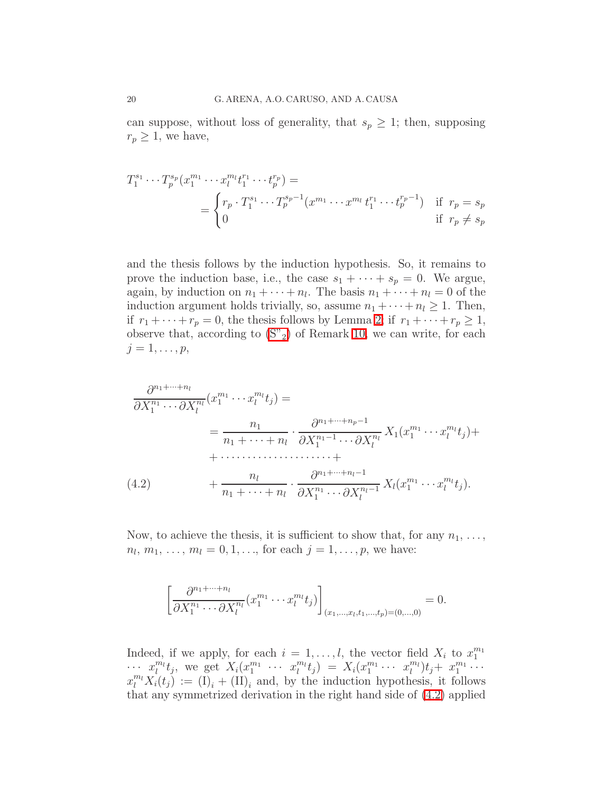can suppose, without loss of generality, that  $s_p \geq 1$ ; then, supposing  $r_p \geq 1$ , we have,

$$
T_1^{s_1} \cdots T_p^{s_p} (x_1^{m_1} \cdots x_l^{m_l} t_1^{r_1} \cdots t_p^{r_p}) =
$$
  
= 
$$
\begin{cases} r_p \cdot T_1^{s_1} \cdots T_p^{s_p - 1} (x^{m_1} \cdots x^{m_l} t_1^{r_1} \cdots t_p^{r_p - 1}) & \text{if } r_p = s_p \\ 0 & \text{if } r_p \neq s_p \end{cases}
$$

and the thesis follows by the induction hypothesis. So, it remains to prove the induction base, i.e., the case  $s_1 + \cdots + s_p = 0$ . We argue, again, by induction on  $n_1 + \cdots + n_l$ . The basis  $n_1 + \cdots + n_l = 0$  of the induction argument holds trivially, so, assume  $n_1 + \cdots + n_l \geq 1$ . Then, if  $r_1 + \cdots + r_p = 0$ , the thesis follows by Lemma [2;](#page-18-1) if  $r_1 + \cdots + r_p \ge 1$ , observe that, according to  $(S''_2)$  of Remark [10,](#page-17-3) we can write, for each  $j=1,\ldots,p,$ 

$$
\frac{\partial^{n_1 + \dots + n_l}}{\partial X_1^{n_1} \cdots \partial X_l^{n_l}} (x_1^{m_1} \cdots x_l^{m_l} t_j) =
$$
\n
$$
= \frac{n_1}{n_1 + \dots + n_l} \cdot \frac{\partial^{n_1 + \dots + n_p - 1}}{\partial X_1^{n_1 - 1} \cdots \partial X_l^{n_l}} X_1 (x_1^{m_1} \cdots x_l^{m_l} t_j) +
$$
\n
$$
+ \dots \dots \dots \dots \dots \dots +
$$
\n(4.2)\n
$$
+ \frac{n_l}{n_1 + \dots + n_l} \cdot \frac{\partial^{n_1 + \dots + n_l - 1}}{\partial X_1^{n_1} \cdots \partial X_l^{n_l - 1}} X_l (x_1^{m_1} \cdots x_l^{m_l} t_j).
$$

<span id="page-19-0"></span>Now, to achieve the thesis, it is sufficient to show that, for any  $n_1, \ldots,$  $n_l, m_1, \ldots, m_l = 0, 1, \ldots$ , for each  $j = 1, \ldots, p$ , we have:

$$
\left[\frac{\partial^{n_1+\dots+n_l}}{\partial X_1^{n_1}\cdots \partial X_l^{n_l}}(x_1^{m_1}\cdots x_l^{m_l}t_j)\right]_{(x_1,...,x_l,t_1,...,t_p)=(0,...,0)}=0.
$$

Indeed, if we apply, for each  $i = 1, \ldots, l$ , the vector field  $X_i$  to  $x_1^{m_1}$  $x_1^{m_1}x_2^{m_2}$ , we get  $X_i(x_1^{m_1} \cdots x_l^{m_l}t_j) = X_i(x_1^{m_1} \cdots x_l^{m_l})t_j + x_1^{m_1} \cdots$  $x_1^{m_1} \cdots x_l^{m_l} t_j$  =  $X_i(x_1^{m_1})$  $x_1^{m_1} \cdots x_l^{m_l}$ ) $t_j$  +  $x_1^{m_1}$  $\frac{m_1}{1} \cdots$  $x_l^{m_l} X_i(t_j) := (\tilde{I})_i + (\tilde{I})_i$  and, by the induction hypothesis, it follows that any symmetrized derivation in the right hand side of [\(4.2\)](#page-19-0) applied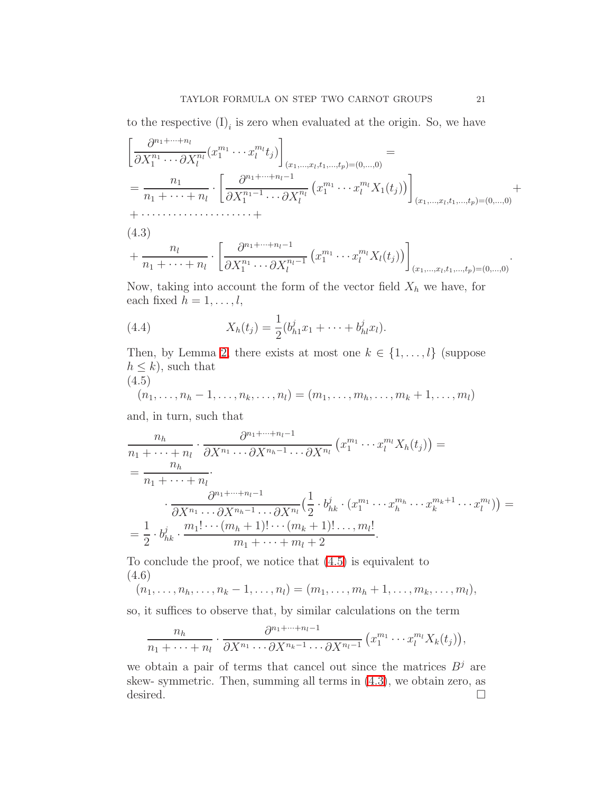to the respective  $(I)_i$  is zero when evaluated at the origin. So, we have

$$
\left[\frac{\partial^{n_1+\dots+n_l}}{\partial X_1^{n_1}\dots\partial X_l^{n_l}}(x_1^{m_1}\dots x_l^{m_l}t_j)\right]_{(x_1,...,x_l,t_1,...,t_p)=(0,...,0)} =
$$
\n
$$
=\frac{n_1}{n_1+\dots+n_l}\cdot\left[\frac{\partial^{n_1+\dots+n_l-1}}{\partial X_1^{n_1-1}\dots\partial X_l^{n_l}}(x_1^{m_1}\dots x_l^{m_l}X_1(t_j))\right]_{(x_1,...,x_l,t_1,...,t_p)=(0,...,0)} +
$$
\n
$$
+\dots
$$
\n(4.3)\n
$$
n_l \qquad \left[\frac{\partial^{n_1+\dots+n_l-1}}{\partial X_1^{n_1-1}\dots(\partial X_l^{m_l}X_l(t_j))}\right]_{(x_1,...,x_l,t_1,...,t_p)=(0,...,0)}
$$

<span id="page-20-1"></span>
$$
+\frac{n_l}{n_1+\cdots+n_l}\cdot\left[\frac{\partial^{n_1+\cdots+n_l-1}}{\partial X_1^{n_1}\cdots\partial X_l^{n_l-1}}(x_1^{m_1}\cdots x_l^{m_l}X_l(t_j))\right]_{(x_1,...,x_l,t_1,...,t_p)=(0,...,0)}.
$$

Now, taking into account the form of the vector field  $X_h$  we have, for each fixed  $h = 1, \ldots, l$ ,

(4.4) 
$$
X_h(t_j) = \frac{1}{2}(b_{h1}^j x_1 + \dots + b_{hl}^j x_l).
$$

Then, by Lemma [2,](#page-18-1) there exists at most one  $k \in \{1, \ldots, l\}$  (suppose  $h \leq k$ , such that

<span id="page-20-0"></span>
$$
(4.5)
$$

$$
(n_1, ..., n_h - 1, ..., n_k, ..., n_l) = (m_1, ..., m_h, ..., m_k + 1, ..., m_l)
$$

and, in turn, such that

$$
\frac{n_h}{n_1 + \dots + n_l} \cdot \frac{\partial^{n_1 + \dots + n_l - 1}}{\partial X^{n_1} \dots \partial X^{n_h - 1} \dots \partial X^{n_l}} (x_1^{m_1} \dots x_l^{m_l} X_h(t_j)) =
$$
\n
$$
= \frac{n_h}{n_1 + \dots + n_l} \cdot \frac{\partial^{n_1 + \dots + n_l - 1}}{\partial X^{n_1} \dots \partial X^{n_h - 1} \dots \partial X^{n_l}} \left(\frac{1}{2} \cdot b_{hk}^j \cdot (x_1^{m_1} \dots x_h^{m_h} \dots x_k^{m_k + 1} \dots x_l^{m_l})\right) =
$$
\n
$$
= \frac{1}{2} \cdot b_{hk}^j \cdot \frac{m_1! \dots (m_h + 1)! \dots (m_k + 1)! \dots, m_l!}{m_1 + \dots + m_l + 2}.
$$

To conclude the proof, we notice that [\(4.5\)](#page-20-0) is equivalent to (4.6)

$$
(n_1,\ldots,n_h,\ldots,n_k-1,\ldots,n_l)=(m_1,\ldots,m_h+1,\ldots,m_k,\ldots,m_l),
$$

so, it suffices to observe that, by similar calculations on the term

$$
\frac{n_h}{n_1+\cdots+n_l}\cdot\frac{\partial^{n_1+\cdots+n_l-1}}{\partial X^{n_1}\cdots\partial X^{n_k-1}\cdots\partial X^{n_l-1}}\left(x_1^{m_1}\cdots x_l^{m_l}X_k(t_j)\right),
$$

we obtain a pair of terms that cancel out since the matrices  $B^j$  are skew- symmetric. Then, summing all terms in [\(4.3\)](#page-20-1), we obtain zero, as desired.